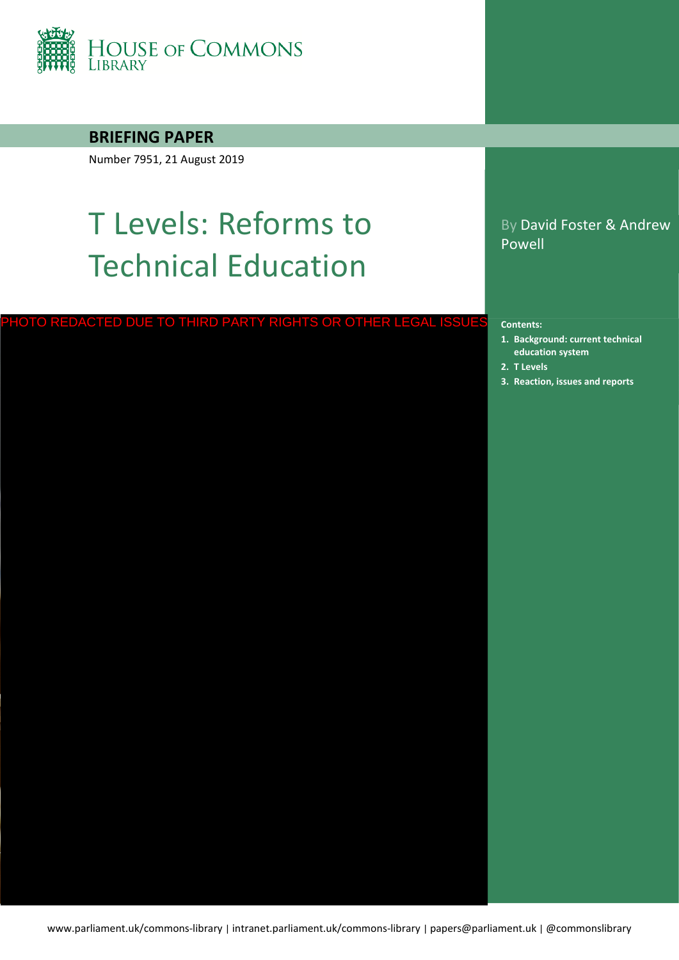

## **BRIEFING PAPER**

Number 7951, 21 August 2019

## T Levels: Reforms to Technical Education

# PHOTO REDACTED DUE TO THIRD PARTY RIGHTS OR OTHER LEGAL ISSUES contents:<br>1. Background: current technic:<br>education system<br>2. T Levels<br>3. [Reaction, issues and reports](#page-19-0)

By David Foster & Andrew Powell

#### **Contents:**

- **1. [Background: current technical](#page-3-0)  education system**
- **2. [T Levels](#page-6-0)**
-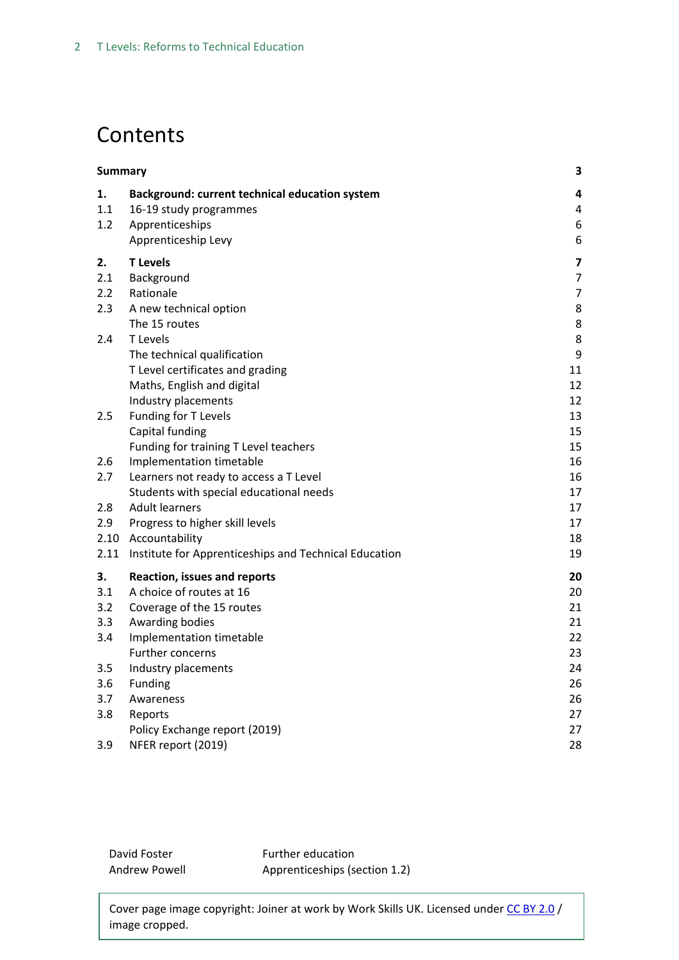## **Contents**

|      | <b>Summary</b>                                        |                         |  |
|------|-------------------------------------------------------|-------------------------|--|
| 1.   | Background: current technical education system        | 4                       |  |
| 1.1  | 16-19 study programmes                                | 4                       |  |
| 1.2  | Apprenticeships                                       | 6                       |  |
|      | Apprenticeship Levy                                   | 6                       |  |
| 2.   | <b>T</b> Levels                                       | $\overline{\mathbf{z}}$ |  |
| 2.1  | Background                                            | $\overline{7}$          |  |
| 2.2  | Rationale                                             | $\overline{7}$          |  |
| 2.3  | A new technical option                                | 8                       |  |
|      | The 15 routes                                         | 8                       |  |
| 2.4  | T Levels                                              | 8                       |  |
|      | The technical qualification                           | 9                       |  |
|      | T Level certificates and grading                      | 11                      |  |
|      | Maths, English and digital                            | 12                      |  |
|      | Industry placements                                   | 12                      |  |
| 2.5  | Funding for T Levels                                  | 13                      |  |
|      | Capital funding                                       | 15                      |  |
|      | Funding for training T Level teachers                 | 15                      |  |
| 2.6  | Implementation timetable                              | 16                      |  |
| 2.7  | Learners not ready to access a T Level                | 16                      |  |
|      | Students with special educational needs               | 17                      |  |
| 2.8  | <b>Adult learners</b>                                 | 17                      |  |
| 2.9  | Progress to higher skill levels                       | 17                      |  |
|      | 2.10 Accountability                                   | 18                      |  |
| 2.11 | Institute for Apprenticeships and Technical Education | 19                      |  |
| 3.   | <b>Reaction, issues and reports</b>                   | 20                      |  |
| 3.1  | A choice of routes at 16                              | 20                      |  |
| 3.2  | Coverage of the 15 routes                             | 21                      |  |
| 3.3  | Awarding bodies                                       | 21                      |  |
| 3.4  | Implementation timetable                              | 22                      |  |
|      | Further concerns                                      | 23                      |  |
| 3.5  | Industry placements                                   | 24                      |  |
| 3.6  | Funding                                               | 26                      |  |
| 3.7  | Awareness                                             | 26                      |  |
| 3.8  | Reports                                               | 27                      |  |
|      | Policy Exchange report (2019)                         | 27                      |  |
| 3.9  | NFER report (2019)                                    | 28                      |  |

David Foster Andrew Powell

Further education Apprenticeships (section 1.2)

Cover page image copyright: Joiner at work by Work Skills UK. Licensed under [CC BY 2.0](https://creativecommons.org/licenses/by/2.0/) / image cropped.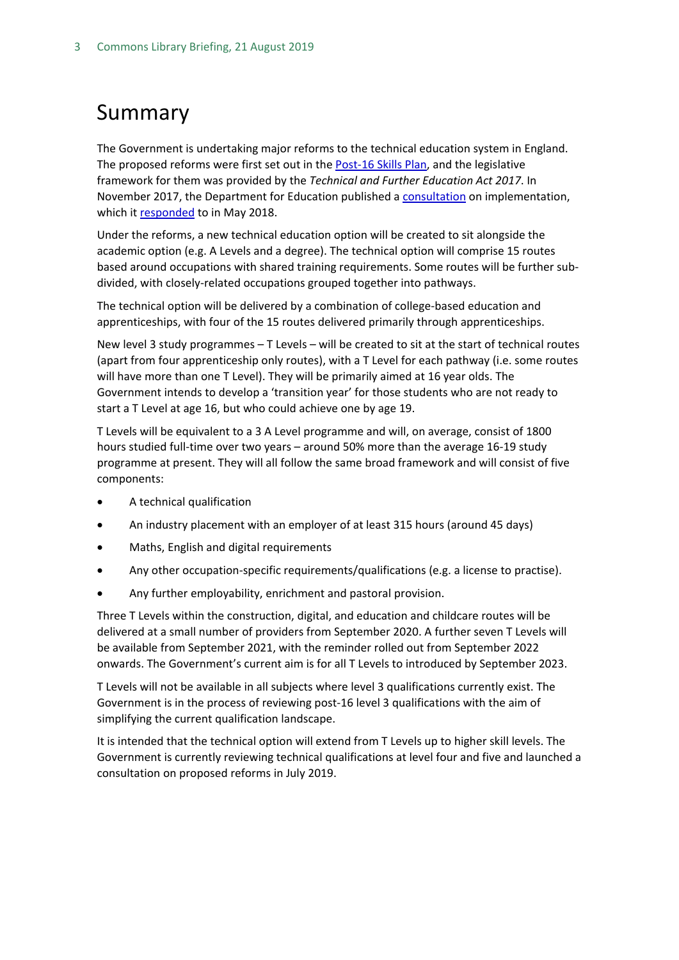## <span id="page-2-0"></span>Summary

The Government is undertaking major reforms to the technical education system in England. The proposed reforms were first set out in the [Post-16 Skills Plan,](https://www.gov.uk/government/uploads/system/uploads/attachment_data/file/536043/Post-16_Skills_Plan.pdf) and the legislative framework for them was provided by the *Technical and Further Education Act 2017*. In November 2017, the Department for Education published a [consultation](https://consult.education.gov.uk/technical-education/implementation-of-t-level-programmes/supporting_documents/T%20level%20consultation.pdf) on implementation, which it [responded](https://assets.publishing.service.gov.uk/government/uploads/system/uploads/attachment_data/file/711472/Implementation_of_T_Level_programmes-Government_consultation_response.pdf) to in May 2018.

Under the reforms, a new technical education option will be created to sit alongside the academic option (e.g. A Levels and a degree). The technical option will comprise 15 routes based around occupations with shared training requirements. Some routes will be further subdivided, with closely-related occupations grouped together into pathways.

The technical option will be delivered by a combination of college-based education and apprenticeships, with four of the 15 routes delivered primarily through apprenticeships.

New level 3 study programmes – T Levels – will be created to sit at the start of technical routes (apart from four apprenticeship only routes), with a T Level for each pathway (i.e. some routes will have more than one T Level). They will be primarily aimed at 16 year olds. The Government intends to develop a 'transition year' for those students who are not ready to start a T Level at age 16, but who could achieve one by age 19.

T Levels will be equivalent to a 3 A Level programme and will, on average, consist of 1800 hours studied full-time over two years – around 50% more than the average 16-19 study programme at present. They will all follow the same broad framework and will consist of five components:

- A technical qualification
- An industry placement with an employer of at least 315 hours (around 45 days)
- Maths, English and digital requirements
- Any other occupation-specific requirements/qualifications (e.g. a license to practise).
- Any further employability, enrichment and pastoral provision.

Three T Levels within the construction, digital, and education and childcare routes will be delivered at a small number of providers from September 2020. A further seven T Levels will be available from September 2021, with the reminder rolled out from September 2022 onwards. The Government's current aim is for all T Levels to introduced by September 2023.

T Levels will not be available in all subjects where level 3 qualifications currently exist. The Government is in the process of reviewing post-16 level 3 qualifications with the aim of simplifying the current qualification landscape.

It is intended that the technical option will extend from T Levels up to higher skill levels. The Government is currently reviewing technical qualifications at level four and five and launched a consultation on proposed reforms in July 2019.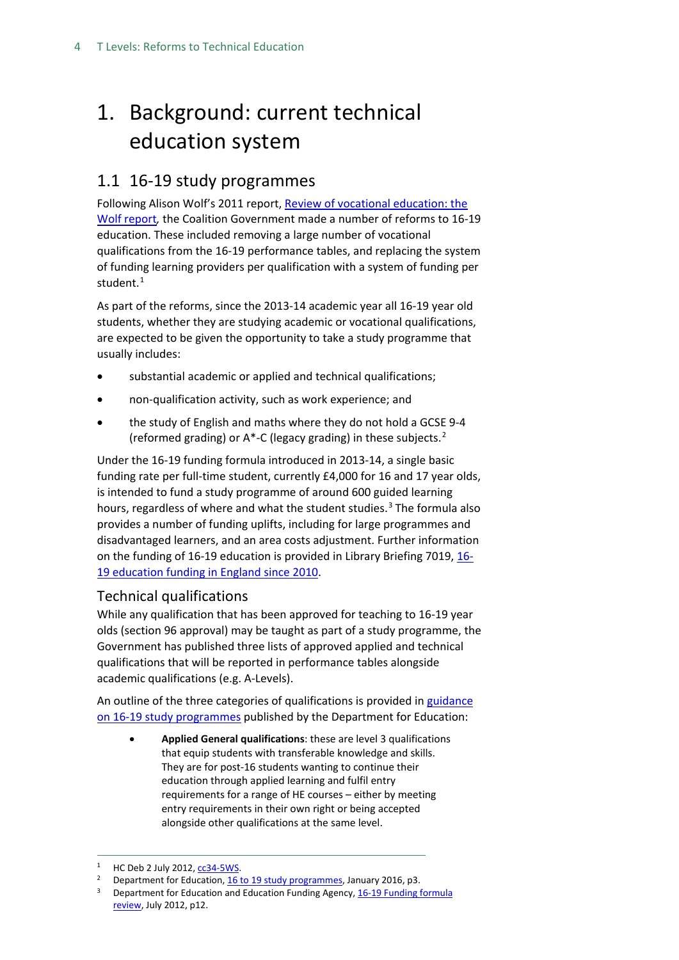## <span id="page-3-0"></span>1. Background: current technical education system

## <span id="page-3-1"></span>1.1 16-19 study programmes

Following Alison Wolf's 2011 report, [Review of vocational education: the](https://www.gov.uk/government/publications/review-of-vocational-education-the-wolf-report)  [Wolf report](https://www.gov.uk/government/publications/review-of-vocational-education-the-wolf-report)*,* the Coalition Government made a number of reforms to 16-19 education. These included removing a large number of vocational qualifications from the 16-19 performance tables, and replacing the system of funding learning providers per qualification with a system of funding per student.<sup>[1](#page-3-2)</sup>

As part of the reforms, since the 2013-14 academic year all 16-19 year old students, whether they are studying academic or vocational qualifications, are expected to be given the opportunity to take a study programme that usually includes:

- substantial academic or applied and technical qualifications;
- non-qualification activity, such as work experience; and
- the study of English and maths where they do not hold a GCSE 9-4 (reformed grading) or A\*-C (legacy grading) in these subjects.[2](#page-3-3)

Under the 16-19 funding formula introduced in 2013-14, a single basic funding rate per full-time student, currently £4,000 for 16 and 17 year olds, is intended to fund a study programme of around 600 guided learning hours, regardless of where and what the student studies.<sup>[3](#page-3-4)</sup> The formula also provides a number of funding uplifts, including for large programmes and disadvantaged learners, and an area costs adjustment. Further information on the funding of 16-19 education is provided in Library Briefing 7019, [16-](http://researchbriefings.parliament.uk/ResearchBriefing/Summary/SN07019) [19 education funding in England since 2010.](http://researchbriefings.parliament.uk/ResearchBriefing/Summary/SN07019)

## Technical qualifications

While any qualification that has been approved for teaching to 16-19 year olds (section 96 approval) may be taught as part of a study programme, the Government has published three lists of approved applied and technical qualifications that will be reported in performance tables alongside academic qualifications (e.g. A-Levels).

An outline of the three categories of qualifications is provided i[n guidance](https://www.gov.uk/government/publications/16-to-19-study-programmes-guide-for-providers/16-to-19-study-programmes-guidance-2019-to-2020-academic-year)  [on 16-19 study programmes](https://www.gov.uk/government/publications/16-to-19-study-programmes-guide-for-providers/16-to-19-study-programmes-guidance-2019-to-2020-academic-year) published by the Department for Education:

• **Applied General qualifications**: these are level 3 qualifications that equip students with transferable knowledge and skills. They are for post-16 students wanting to continue their education through applied learning and fulfil entry requirements for a range of HE courses – either by meeting entry requirements in their own right or being accepted alongside other qualifications at the same level.

<span id="page-3-2"></span> <sup>1</sup> HC Deb 2 July 2012[, cc34-5WS.](https://www.publications.parliament.uk/pa/cm201213/cmhansrd/cm120702/wmstext/120702m0001.htm#1207026000013)

<span id="page-3-3"></span><sup>&</sup>lt;sup>2</sup> Department for Education[, 16 to 19 study programmes,](https://www.gov.uk/government/uploads/system/uploads/attachment_data/file/493452/16_to_19_study_programmes_departmental_advice_Jan_2016_update.pdf) January 2016, p3.

<span id="page-3-4"></span><sup>&</sup>lt;sup>3</sup> Department for Education and Education Funding Agency, 16-19 Funding formula [review,](http://media.education.gov.uk/assets/files/pdf/1/16-19%20funding%20policy%20document_001.pdf) July 2012, p12.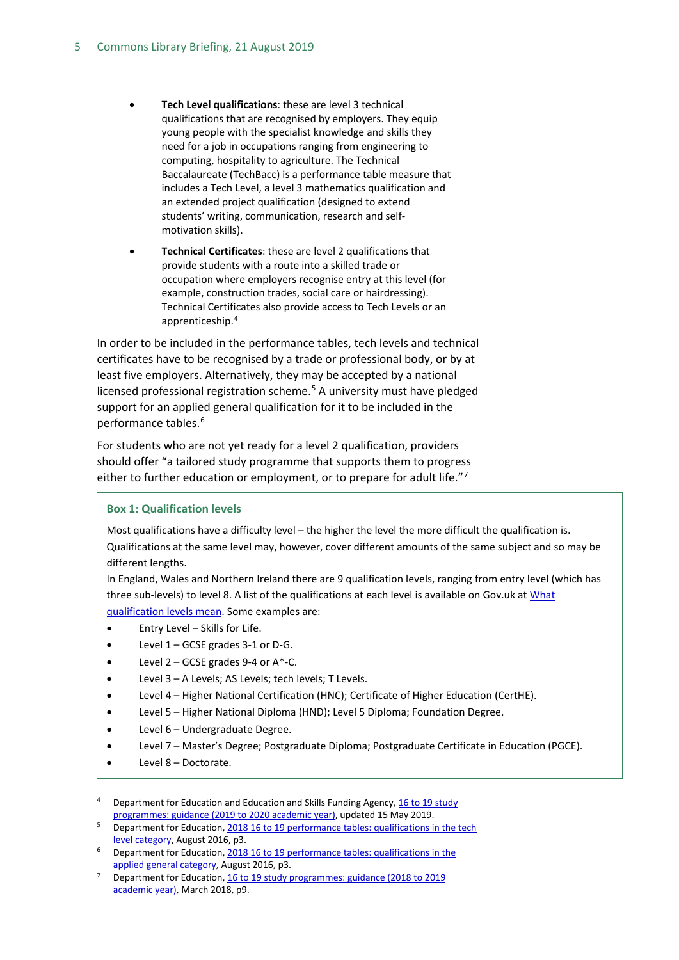- **Tech Level qualifications**: these are level 3 technical qualifications that are recognised by employers. They equip young people with the specialist knowledge and skills they need for a job in occupations ranging from engineering to computing, hospitality to agriculture. The Technical Baccalaureate (TechBacc) is a performance table measure that includes a Tech Level, a level 3 mathematics qualification and an extended project qualification (designed to extend students' writing, communication, research and selfmotivation skills).
- **Technical Certificates**: these are level 2 qualifications that provide students with a route into a skilled trade or occupation where employers recognise entry at this level (for example, construction trades, social care or hairdressing). Technical Certificates also provide access to Tech Levels or an apprenticeship.[4](#page-4-0)

In order to be included in the performance tables, tech levels and technical certificates have to be recognised by a trade or professional body, or by at least five employers. Alternatively, they may be accepted by a national licensed professional registration scheme.<sup>[5](#page-4-1)</sup> A university must have pledged support for an applied general qualification for it to be included in the performance tables.<sup>[6](#page-4-2)</sup>

For students who are not yet ready for a level 2 qualification, providers should offer "a tailored study programme that supports them to progress either to further education or employment, or to prepare for adult life." $7$ 

#### **Box 1: Qualification levels**

Most qualifications have a difficulty level – the higher the level the more difficult the qualification is. Qualifications at the same level may, however, cover different amounts of the same subject and so may be different lengths.

In England, Wales and Northern Ireland there are 9 qualification levels, ranging from entry level (which has three sub-levels) to level 8. A list of the qualifications at each level is available on Gov.uk a[t What](https://www.gov.uk/what-different-qualification-levels-mean/list-of-qualification-levels) [qualification levels mean.](https://www.gov.uk/what-different-qualification-levels-mean/list-of-qualification-levels) Some examples are:

- Entry Level Skills for Life.
- Level 1 GCSE grades 3-1 or D-G.
- Level  $2 GCSE$  grades 9-4 or  $A^*$ -C.
- Level 3 A Levels; AS Levels; tech levels; T Levels.
- Level 4 Higher National Certification (HNC); Certificate of Higher Education (CertHE).
- Level 5 Higher National Diploma (HND); Level 5 Diploma; Foundation Degree.
- Level 6 Undergraduate Degree.
- Level 7 Master's Degree; Postgraduate Diploma; Postgraduate Certificate in Education (PGCE).
- Level 8 Doctorate.

<span id="page-4-0"></span>Department for Education and Education and Skills Funding Agency, 16 to 19 study [programmes: guidance \(2019 to 2020 academic year\),](https://www.gov.uk/government/publications/16-to-19-study-programmes-guide-for-providers/16-to-19-study-programmes-guidance-2019-to-2020-academic-year) updated 15 May 2019.

<span id="page-4-1"></span>Department for Education, 2018 16 to 19 performance tables: qualifications in the tech [level category,](https://assets.publishing.service.gov.uk/government/uploads/system/uploads/attachment_data/file/543277/16-19_Tech_Levels_2018.pdf) August 2016, p3.

<span id="page-4-2"></span>Department for Education, 2018 16 to 19 performance tables: qualifications in the [applied general category,](https://assets.publishing.service.gov.uk/government/uploads/system/uploads/attachment_data/file/543278/16-19_Applied_General_Qualifications_2018.pdf) August 2016, p3.

<span id="page-4-3"></span>Department for Education, 16 to 19 study programmes: guidance (2018 to 2019 [academic year\),](https://assets.publishing.service.gov.uk/government/uploads/system/uploads/attachment_data/file/694413/16_to_19_study_programmes_guidance_updated-March_2018.pdf) March 2018, p9.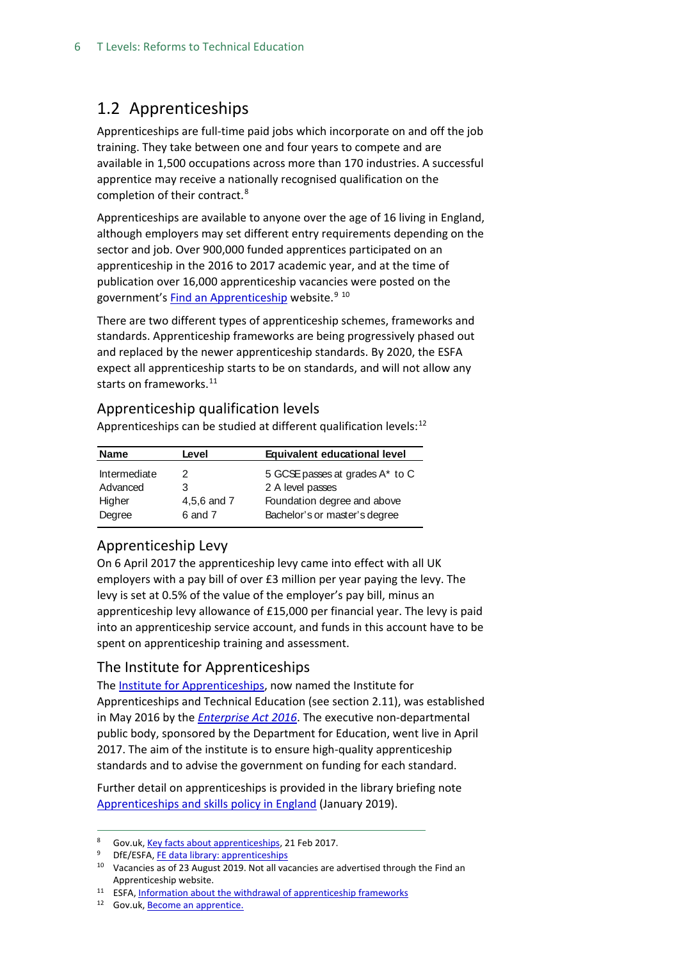## <span id="page-5-0"></span>1.2 Apprenticeships

Apprenticeships are full-time paid jobs which incorporate on and off the job training. They take between one and four years to compete and are available in 1,500 occupations across more than 170 industries. A successful apprentice may receive a nationally recognised qualification on the completion of their contract.[8](#page-5-2)

Apprenticeships are available to anyone over the age of 16 living in England, although employers may set different entry requirements depending on the sector and job. Over 900,000 funded apprentices participated on an apprenticeship in the 2016 to 2017 academic year, and at the time of publication over 16,000 apprenticeship vacancies were posted on the government's [Find an Apprenticeship](https://www.gov.uk/apply-apprenticeship) website.<sup>[9](#page-5-3) [10](#page-5-4)</sup>

There are two different types of apprenticeship schemes, frameworks and standards. Apprenticeship frameworks are being progressively phased out and replaced by the newer apprenticeship standards. By 2020, the ESFA expect all apprenticeship starts to be on standards, and will not allow any starts on frameworks.<sup>[11](#page-5-5)</sup>

#### Apprenticeship qualification levels

Apprenticeships can be studied at different qualification levels: $12$ 

| <b>Name</b>  | Level       | Equivalent educational level    |
|--------------|-------------|---------------------------------|
| Intermediate | 2           | 5 GCSE passes at grades A* to C |
| Advanced     | 3           | 2 A level passes                |
| Higher       | 4,5,6 and 7 | Foundation degree and above     |
| Degree       | 6 and 7     | Bachelor's or master's degree   |

## <span id="page-5-1"></span>Apprenticeship Levy

On 6 April 2017 the apprenticeship levy came into effect with all UK employers with a pay bill of over £3 million per year paying the levy. The levy is set at 0.5% of the value of the employer's pay bill, minus an apprenticeship levy allowance of £15,000 per financial year. The levy is paid into an apprenticeship service account, and funds in this account have to be spent on apprenticeship training and assessment.

## The Institute for Apprenticeships

The [Institute for Apprenticeships,](https://www.gov.uk/government/organisations/institute-for-apprenticeships) now named the Institute for Apprenticeships and Technical Education (see section 2.11), was established in May 2016 by the *[Enterprise Act 2016](http://www.legislation.gov.uk/ukpga/2016/12/contents/enacted)*. The executive non-departmental public body, sponsored by the Department for Education, went live in April 2017. The aim of the institute is to ensure high-quality apprenticeship standards and to advise the government on funding for each standard.

Further detail on apprenticeships is provided in the library briefing note [Apprenticeships and skills policy in England](https://researchbriefings.parliament.uk/ResearchBriefing/Summary/SN03052) (January 2019).

<span id="page-5-2"></span><sup>8</sup> Gov.uk[, Key facts about apprenticeships,](https://www.gov.uk/government/publications/key-facts-about-apprenticeships/key-facts-about-apprenticeships) 21 Feb 2017.

<span id="page-5-3"></span><sup>&</sup>lt;sup>9</sup> DfE/ESFA[, FE data library: apprenticeships](https://www.gov.uk/government/statistical-data-sets/fe-data-library-apprenticeships)

<span id="page-5-4"></span><sup>&</sup>lt;sup>10</sup> Vacancies as of 23 August 2019. Not all vacancies are advertised through the Find an Apprenticeship website.

<span id="page-5-5"></span><sup>&</sup>lt;sup>11</sup> ESFA[, Information about the withdrawal of apprenticeship frameworks](https://www.gov.uk/government/publications/removal-of-apprenticeship-frameworks/information-about-the-withdrawal-of-apprenticeship-frameworks)

<span id="page-5-6"></span><sup>12</sup> Gov.uk[, Become an apprentice.](https://www.gov.uk/apprenticeships-guide/overview)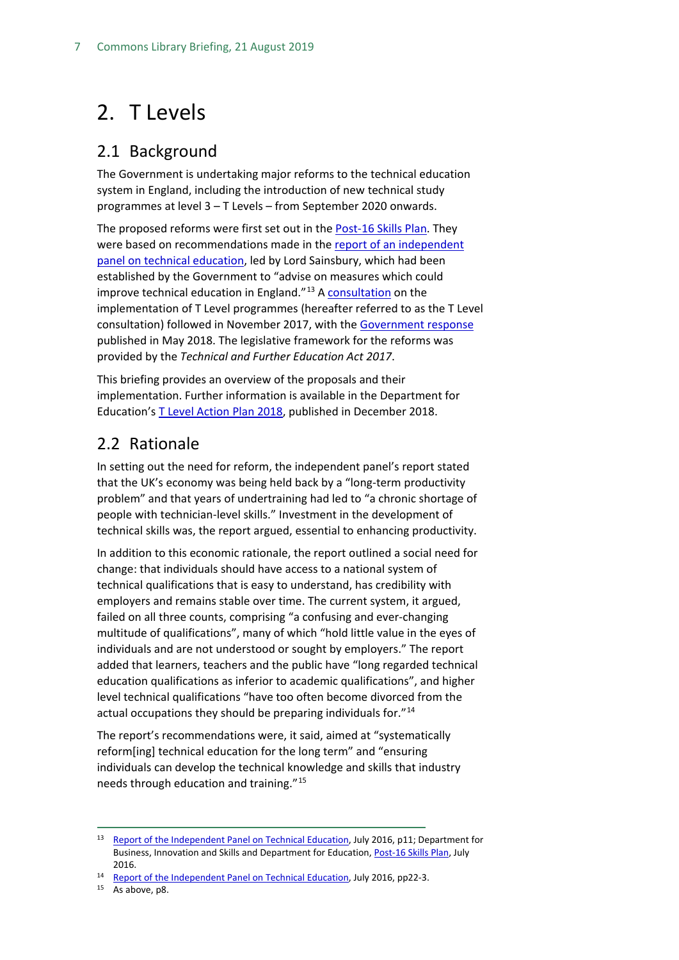## <span id="page-6-0"></span>2. T Levels

## <span id="page-6-1"></span>2.1 Background

The Government is undertaking major reforms to the technical education system in England, including the introduction of new technical study programmes at level 3 – T Levels – from September 2020 onwards.

The proposed reforms were first set out in the [Post-16 Skills Plan.](https://www.gov.uk/government/uploads/system/uploads/attachment_data/file/536043/Post-16_Skills_Plan.pdf) They were based on recommendations made in th[e report of an independent](https://www.gov.uk/government/uploads/system/uploads/attachment_data/file/536046/Report_of_the_Independent_Panel_on_Technical_Education.pdf)  panel [on technical education,](https://www.gov.uk/government/uploads/system/uploads/attachment_data/file/536046/Report_of_the_Independent_Panel_on_Technical_Education.pdf) led by Lord Sainsbury, which had been established by the Government to "advise on measures which could improve technical education in England."<sup>[13](#page-6-3)</sup> [A consultation](https://consult.education.gov.uk/technical-education/implementation-of-t-level-programmes/supporting_documents/T%20level%20consultation.pdf) on the implementation of T Level programmes (hereafter referred to as the T Level consultation) followed in November 2017, with the [Government response](https://assets.publishing.service.gov.uk/government/uploads/system/uploads/attachment_data/file/711472/Implementation_of_T_Level_programmes-Government_consultation_response.pdf) published in May 2018. The legislative framework for the reforms was provided by the *Technical and Further Education Act 2017*.

This briefing provides an overview of the proposals and their implementation. Further information is available in the Department for Education's [T Level Action Plan 2018,](https://assets.publishing.service.gov.uk/government/uploads/system/uploads/attachment_data/file/762137/T_Level_action_plan_2018.pdf) published in December 2018.

## <span id="page-6-2"></span>2.2 Rationale

In setting out the need for reform, the independent panel's report stated that the UK's economy was being held back by a "long-term productivity problem" and that years of undertraining had led to "a chronic shortage of people with technician-level skills." Investment in the development of technical skills was, the report argued, essential to enhancing productivity.

In addition to this economic rationale, the report outlined a social need for change: that individuals should have access to a national system of technical qualifications that is easy to understand, has credibility with employers and remains stable over time. The current system, it argued, failed on all three counts, comprising "a confusing and ever-changing multitude of qualifications", many of which "hold little value in the eyes of individuals and are not understood or sought by employers." The report added that learners, teachers and the public have "long regarded technical education qualifications as inferior to academic qualifications", and higher level technical qualifications "have too often become divorced from the actual occupations they should be preparing individuals for."[14](#page-6-4)

The report's recommendations were, it said, aimed at "systematically reform[ing] technical education for the long term" and "ensuring individuals can develop the technical knowledge and skills that industry needs through education and training."[15](#page-6-5)

<span id="page-6-5"></span><span id="page-6-4"></span><sup>15</sup> As above, p8.

<span id="page-6-3"></span><sup>&</sup>lt;sup>13</sup> [Report of the Independent Panel on Technical Education,](https://www.gov.uk/government/uploads/system/uploads/attachment_data/file/536046/Report_of_the_Independent_Panel_on_Technical_Education.pdf) July 2016, p11; Department for Business, Innovation and Skills and Department for Education[, Post-16 Skills Plan,](https://www.gov.uk/government/uploads/system/uploads/attachment_data/file/536043/Post-16_Skills_Plan.pdf) July

<sup>2016.&</sup>lt;br><sup>14</sup> [Report of the Independent Panel on Technical Education,](https://www.gov.uk/government/uploads/system/uploads/attachment_data/file/536046/Report_of_the_Independent_Panel_on_Technical_Education.pdf) July 2016, pp22-3.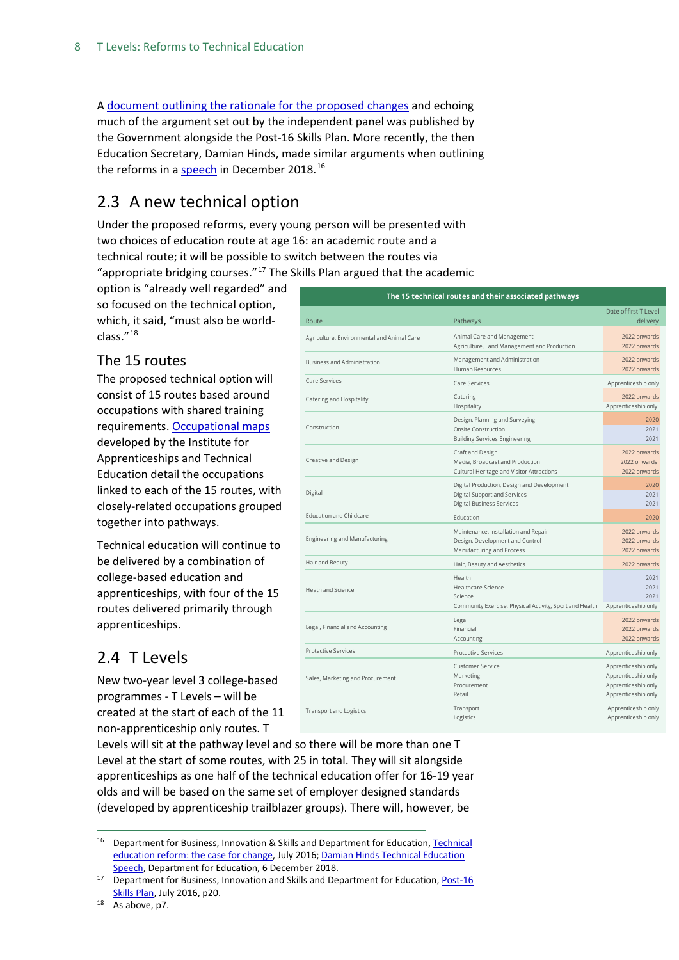A [document outlining the rationale for the proposed changes](https://www.gov.uk/government/uploads/system/uploads/attachment_data/file/536048/Technical_Education_Reform_-_Case_For_Change.pdf) and echoing much of the argument set out by the independent panel was published by the Government alongside the Post-16 Skills Plan. More recently, the then Education Secretary, Damian Hinds, made similar arguments when outlining the reforms in a [speech](https://www.gov.uk/government/speeches/damian-hinds-technical-education-speech) in December 2018.<sup>[16](#page-7-3)</sup>

## <span id="page-7-0"></span>2.3 A new technical option

Under the proposed reforms, every young person will be presented with two choices of education route at age 16: an academic route and a technical route; it will be possible to switch between the routes via "appropriate bridging courses." $17$  The Skills Plan argued that the academic

option is "already well regarded" and so focused on the technical option, which, it said, "must also be worldclass."[18](#page-7-5)

#### <span id="page-7-1"></span>The 15 routes

The proposed technical option will consist of 15 routes based around occupations with shared training requirements. [Occupational maps](https://www.instituteforapprenticeships.org/about/occupational-maps/) developed by the Institute for Apprenticeships and Technical Education detail the occupations linked to each of the 15 routes, with closely-related occupations grouped together into pathways.

Technical education will continue to be delivered by a combination of college-based education and apprenticeships, with four of the 15 routes delivered primarily through apprenticeships.

## <span id="page-7-2"></span>2.4 T Levels

New two-year level 3 college-based programmes - T Levels – will be created at the start of each of the 11 non-apprenticeship only routes. T

| The 15 technical routes and their associated pathways |                                                                                                                |                                                                                          |  |  |  |  |
|-------------------------------------------------------|----------------------------------------------------------------------------------------------------------------|------------------------------------------------------------------------------------------|--|--|--|--|
| Route                                                 | Pathways                                                                                                       | Date of first T Level<br>delivery                                                        |  |  |  |  |
| Agriculture, Environmental and Animal Care            | Animal Care and Management<br>Agriculture, Land Management and Production                                      | 2022 onwards<br>2022 onwards                                                             |  |  |  |  |
| Business and Administration                           | Management and Administration<br><b>Human Resources</b>                                                        | 2022 onwards<br>2022 onwards                                                             |  |  |  |  |
| Care Services                                         | Care Services                                                                                                  | Apprenticeship only                                                                      |  |  |  |  |
| Catering and Hospitality                              | Catering<br>Hospitality                                                                                        | 2022 onwards<br>Apprenticeship only                                                      |  |  |  |  |
| Construction                                          | Design, Planning and Surveying<br><b>Onsite Construction</b><br><b>Building Services Engineering</b>           | 2020<br>2021<br>2021                                                                     |  |  |  |  |
| Creative and Design                                   | Craft and Design<br>Media, Broadcast and Production<br>Cultural Heritage and Visitor Attractions               | 2022 onwards<br>2022 onwards<br>2022 onwards                                             |  |  |  |  |
| Digital                                               | Digital Production, Design and Development<br>Digital Support and Services<br><b>Digital Business Services</b> | 2020<br>2021<br>2021                                                                     |  |  |  |  |
| <b>Education and Childcare</b>                        | Education                                                                                                      | 2020                                                                                     |  |  |  |  |
| <b>Engineering and Manufacturing</b>                  | Maintenance, Installation and Repair<br>Design, Development and Control<br>Manufacturing and Process           | 2022 onwards<br>2022 onwards<br>2022 onwards                                             |  |  |  |  |
| Hair and Beauty                                       | Hair, Beauty and Aesthetics                                                                                    | 2022 onwards                                                                             |  |  |  |  |
| Heath and Science                                     | Health<br>Healthcare Science<br>Science<br>Community Exercise, Physical Activity, Sport and Health             | 2021<br>2021<br>2021<br>Apprenticeship only                                              |  |  |  |  |
| Legal, Financial and Accounting                       | Legal<br>Financial<br>Accounting                                                                               | 2022 onwards<br>2022 onwards<br>2022 onwards                                             |  |  |  |  |
| <b>Protective Services</b>                            | <b>Protective Services</b>                                                                                     | Apprenticeship only                                                                      |  |  |  |  |
| Sales, Marketing and Procurement                      | <b>Customer Service</b><br>Marketing<br>Procurement<br>Retail                                                  | Apprenticeship only<br>Apprenticeship only<br>Apprenticeship only<br>Apprenticeship only |  |  |  |  |
| <b>Transport and Logistics</b>                        | Transport<br>Logistics                                                                                         | Apprenticeship only<br>Apprenticeship only                                               |  |  |  |  |

Levels will sit at the pathway level and so there will be more than one T Level at the start of some routes, with 25 in total. They will sit alongside apprenticeships as one half of the technical education offer for 16-19 year olds and will be based on the same set of employer designed standards (developed by apprenticeship trailblazer groups). There will, however, be

<span id="page-7-3"></span><sup>16</sup> Department for Business, Innovation & Skills and Department for Education, Technical [education reform: the case for change,](https://assets.publishing.service.gov.uk/government/uploads/system/uploads/attachment_data/file/536048/Technical_Education_Reform_-_Case_For_Change.pdf) July 2016; Damian Hinds Technical Education [Speech,](https://www.gov.uk/government/speeches/damian-hinds-technical-education-speech) Department for Education, 6 December 2018.

<span id="page-7-4"></span><sup>&</sup>lt;sup>17</sup> Department for Business, Innovation and Skills and Department for Education, *Post-16* [Skills Plan,](https://www.gov.uk/government/uploads/system/uploads/attachment_data/file/536043/Post-16_Skills_Plan.pdf) July 2016, p20.

<span id="page-7-5"></span><sup>&</sup>lt;sup>18</sup> As above, p7.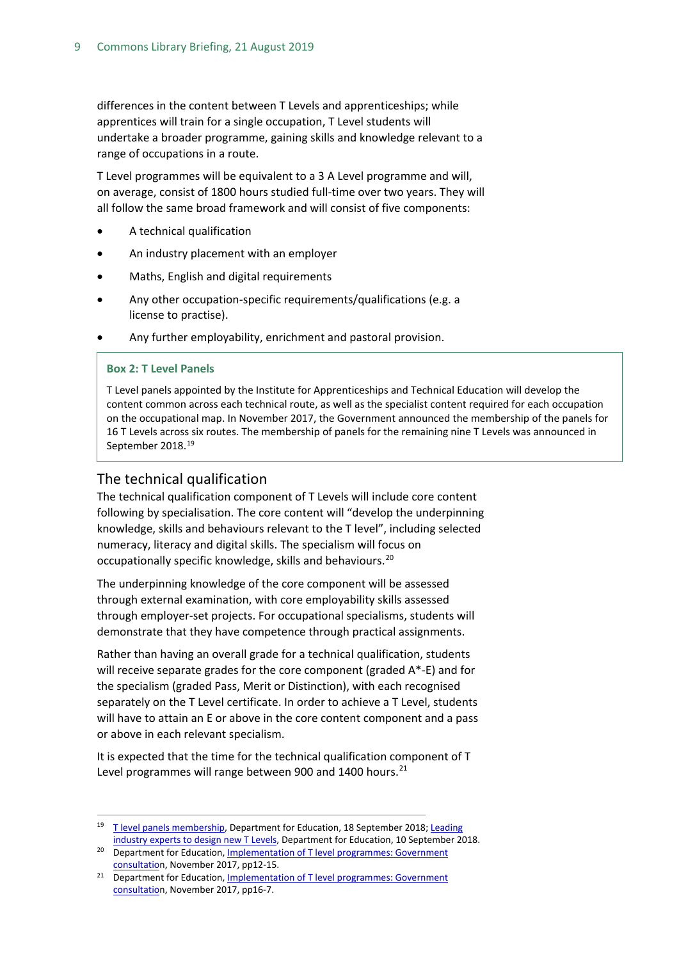differences in the content between T Levels and apprenticeships; while apprentices will train for a single occupation, T Level students will undertake a broader programme, gaining skills and knowledge relevant to a range of occupations in a route.

T Level programmes will be equivalent to a 3 A Level programme and will, on average, consist of 1800 hours studied full-time over two years. They will all follow the same broad framework and will consist of five components:

- A technical qualification
- An industry placement with an employer
- Maths, English and digital requirements
- Any other occupation-specific requirements/qualifications (e.g. a license to practise).
- Any further employability, enrichment and pastoral provision.

#### **Box 2: T Level Panels**

T Level panels appointed by the Institute for Apprenticeships and Technical Education will develop the content common across each technical route, as well as the specialist content required for each occupation on the occupational map. In November 2017, the Government announced the membership of the panels for 16 T Levels across six routes. The membership of panels for the remaining nine T Levels was announced in September 2018.<sup>[19](#page-8-1)</sup>

#### <span id="page-8-0"></span>The technical qualification

The technical qualification component of T Levels will include core content following by specialisation. The core content will "develop the underpinning knowledge, skills and behaviours relevant to the T level", including selected numeracy, literacy and digital skills. The specialism will focus on occupationally specific knowledge, skills and behaviours.[20](#page-8-2)

The underpinning knowledge of the core component will be assessed through external examination, with core employability skills assessed through employer-set projects. For occupational specialisms, students will demonstrate that they have competence through practical assignments.

Rather than having an overall grade for a technical qualification, students will receive separate grades for the core component (graded A\*-E) and for the specialism (graded Pass, Merit or Distinction), with each recognised separately on the T Level certificate. In order to achieve a T Level, students will have to attain an E or above in the core content component and a pass or above in each relevant specialism.

It is expected that the time for the technical qualification component of T Level programmes will range between 900 and 1400 hours. $^{21}$  $^{21}$  $^{21}$ 

<span id="page-8-1"></span><sup>&</sup>lt;sup>19</sup> [T level panels membership,](https://www.gov.uk/government/publications/t-level-panels-membership) Department for Education, 18 September 2018; Leading [industry experts to design new T Levels,](https://www.gov.uk/government/news/leading-industry-experts-to-design-new-t-levels) Department for Education, 10 September 2018.

<span id="page-8-2"></span><sup>&</sup>lt;sup>20</sup> Department for Education, Implementation of T level programmes: Government [consultation](https://consult.education.gov.uk/technical-education/implementation-of-t-level-programmes/supporting_documents/T%20level%20consultation.pdf), November 2017, pp12-15.

<span id="page-8-3"></span><sup>&</sup>lt;sup>21</sup> Department for Education, Implementation of T level programmes: Government [consultation](https://consult.education.gov.uk/technical-education/implementation-of-t-level-programmes/supporting_documents/T%20level%20consultation.pdf), November 2017, pp16-7.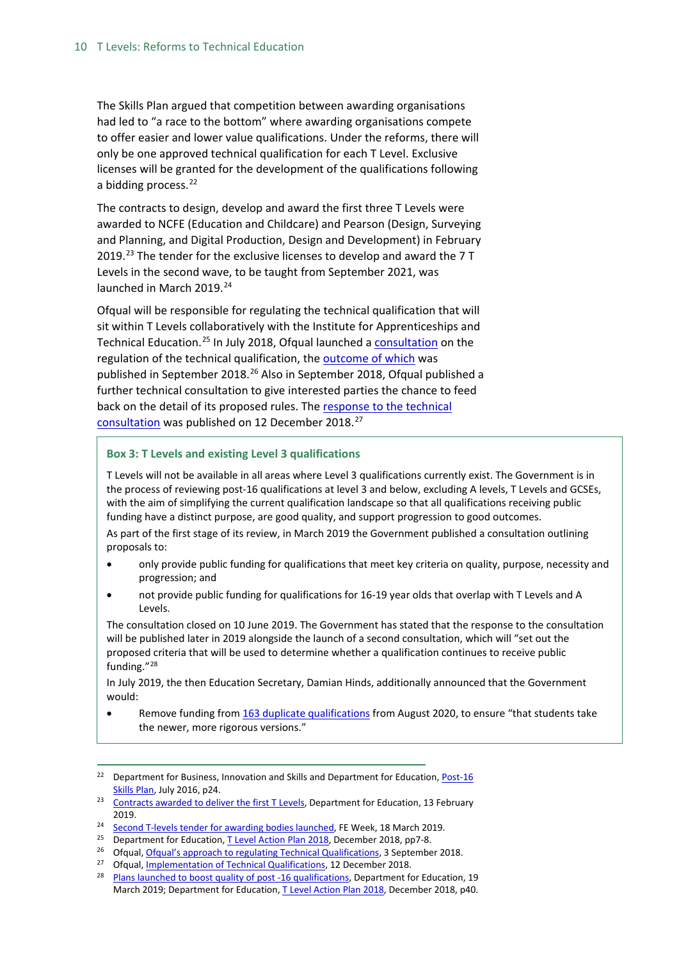The Skills Plan argued that competition between awarding organisations had led to "a race to the bottom" where awarding organisations compete to offer easier and lower value qualifications. Under the reforms, there will only be one approved technical qualification for each T Level. Exclusive licenses will be granted for the development of the qualifications following a bidding process.<sup>[22](#page-9-0)</sup>

The contracts to design, develop and award the first three T Levels were awarded to NCFE (Education and Childcare) and Pearson (Design, Surveying and Planning, and Digital Production, Design and Development) in February 2019.<sup>[23](#page-9-1)</sup> The tender for the exclusive licenses to develop and award the  $7T$ Levels in the second wave, to be taught from September 2021, was launched in March 2019.<sup>[24](#page-9-2)</sup>

Ofqual will be responsible for regulating the technical qualification that will sit within T Levels collaboratively with the Institute for Apprenticeships and Technical Education.<sup>[25](#page-9-3)</sup> In July 2018, Ofqual launched a **consultation** on the regulation of the technical qualification, the [outcome of which](https://www.gov.uk/government/news/implementing-our-approach-to-regulating-technical-qualifications) was published in September 2018.<sup>[26](#page-9-4)</sup> Also in September 2018, Ofqual published a further technical consultation to give interested parties the chance to feed back on the detail of its proposed rules. The [response to the technical](https://www.gov.uk/government/consultations/implementation-of-technical-qualifications)  [consultation](https://www.gov.uk/government/consultations/implementation-of-technical-qualifications) was published on 12 December 2018.<sup>[27](#page-9-5)</sup>

#### **Box 3: T Levels and existing Level 3 qualifications**

T Levels will not be available in all areas where Level 3 qualifications currently exist. The Government is in the process of reviewing post-16 qualifications at level 3 and below, excluding A levels, T Levels and GCSEs, with the aim of simplifying the current qualification landscape so that all qualifications receiving public funding have a distinct purpose, are good quality, and support progression to good outcomes. As part of the first stage of its review, in March 2019 the Government published a consultation outlining proposals to:

- only provide public funding for qualifications that meet key criteria on quality, purpose, necessity and progression; and
- not provide public funding for qualifications for 16-19 year olds that overlap with T Levels and A Levels.

The consultation closed on 10 June 2019. The Government has stated that the response to the consultation will be published later in 2019 alongside the launch of a second consultation, which will "set out the proposed criteria that will be used to determine whether a qualification continues to receive public funding."[28](#page-9-6)

In July 2019, the then Education Secretary, Damian Hinds, additionally announced that the Government would:

• Remove funding from 163 [duplicate qualifications](https://www.gov.uk/government/publications/qualifications-getting-approval-for-funding) from August 2020, to ensure "that students take the newer, more rigorous versions."

<span id="page-9-0"></span><sup>&</sup>lt;sup>22</sup> Department for Business, Innovation and Skills and Department for Education, Post-16 [Skills Plan,](https://www.gov.uk/government/uploads/system/uploads/attachment_data/file/536043/Post-16_Skills_Plan.pdf) July 2016, p24.

<span id="page-9-1"></span><sup>&</sup>lt;sup>23</sup> [Contracts awarded to deliver the first T Levels,](https://www.gov.uk/government/news/contracts-awarded-to-deliver-the-first-t-levels) Department for Education, 13 February 2019.

<span id="page-9-2"></span><sup>&</sup>lt;sup>24</sup> [Second T-levels tender for awarding bodies launched,](https://feweek.co.uk/2019/03/18/second-t-levels-tender-for-awarding-bodies-launched/) FE Week, 18 March 2019.

<span id="page-9-3"></span><sup>&</sup>lt;sup>25</sup> Department for Education[, T Level Action Plan 2018,](https://assets.publishing.service.gov.uk/government/uploads/system/uploads/attachment_data/file/762137/T_Level_action_plan_2018.pdf) December 2018, pp7-8.

<span id="page-9-4"></span>Ofqual[, Ofqual's approach to regulating Technical Qualifications,](https://www.gov.uk/government/consultations/ofquals-approach-to-regulating-technical-qualifications) 3 September 2018.

<span id="page-9-6"></span><span id="page-9-5"></span><sup>&</sup>lt;sup>27</sup> Ofqual, <u>Implementation of Technical Qualifications</u>, 12 December 2018.<br><sup>28</sup> [Plans launched to boost quality of post -16 qualifications,](https://www.gov.uk/government/news/plans-launched-to-boost-quality-of-post-16-qualifications--2) Department for Education, 19 March 2019; Department for Education, [T Level Action Plan 2018,](https://assets.publishing.service.gov.uk/government/uploads/system/uploads/attachment_data/file/762137/T_Level_action_plan_2018.pdf) December 2018, p40.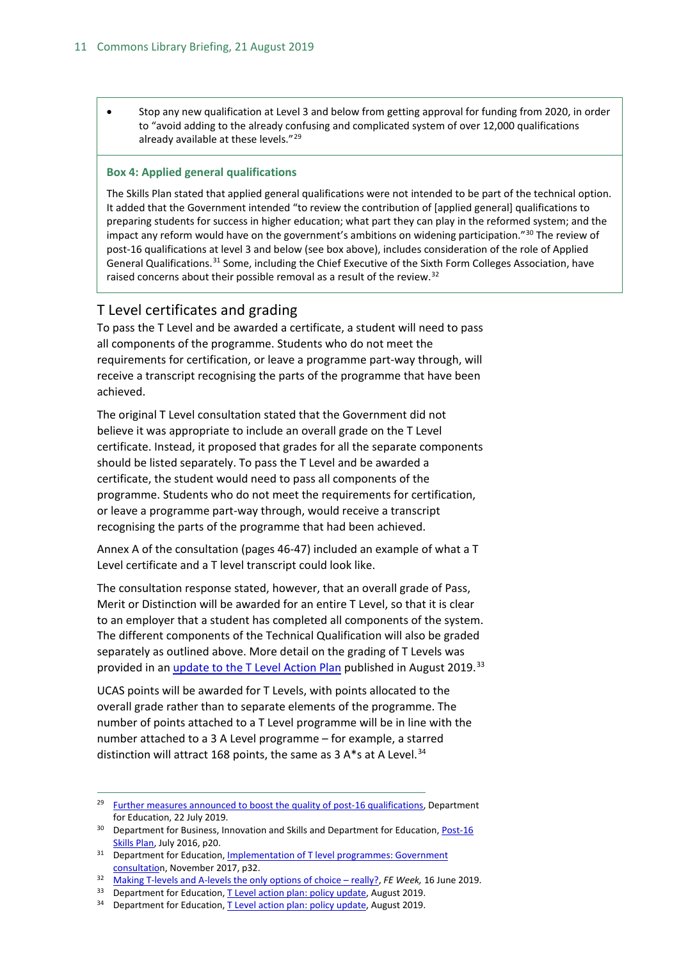• Stop any new qualification at Level 3 and below from getting approval for funding from 2020, in order to "avoid adding to the already confusing and complicated system of over 12,000 qualifications already available at these levels."<sup>[29](#page-10-1)</sup>

#### **Box 4: Applied general qualifications**

The Skills Plan stated that applied general qualifications were not intended to be part of the technical option. It added that the Government intended "to review the contribution of [applied general] qualifications to preparing students for success in higher education; what part they can play in the reformed system; and the impact any reform would have on the government's ambitions on widening participation."<sup>[30](#page-10-2)</sup> The review of post-16 qualifications at level 3 and below (see box above), includes consideration of the role of Applied General Qualifications.<sup>[31](#page-10-3)</sup> Some, including the Chief Executive of the Sixth Form Colleges Association, have raised concerns about their possible removal as a result of the review.<sup>[32](#page-10-4)</sup>

#### <span id="page-10-0"></span>T Level certificates and grading

To pass the T Level and be awarded a certificate, a student will need to pass all components of the programme. Students who do not meet the requirements for certification, or leave a programme part-way through, will receive a transcript recognising the parts of the programme that have been achieved.

The original T Level consultation stated that the Government did not believe it was appropriate to include an overall grade on the T Level certificate. Instead, it proposed that grades for all the separate components should be listed separately. To pass the T Level and be awarded a certificate, the student would need to pass all components of the programme. Students who do not meet the requirements for certification, or leave a programme part-way through, would receive a transcript recognising the parts of the programme that had been achieved.

Annex A of the consultation (pages 46-47) included an example of what a T Level certificate and a T level transcript could look like.

The consultation response stated, however, that an overall grade of Pass, Merit or Distinction will be awarded for an entire T Level, so that it is clear to an employer that a student has completed all components of the system. The different components of the Technical Qualification will also be graded separately as outlined above. More detail on the grading of T Levels was provided in an [update to the T Level Action Plan](https://assets.publishing.service.gov.uk/government/uploads/system/uploads/attachment_data/file/825272/T_Level_action_plan_policy_update.pdf) published in August 2019.<sup>[33](#page-10-5)</sup>

UCAS points will be awarded for T Levels, with points allocated to the overall grade rather than to separate elements of the programme. The number of points attached to a T Level programme will be in line with the number attached to a 3 A Level programme – for example, a starred distinction will attract 168 points, the same as 3 A\*s at A Level.<sup>[34](#page-10-6)</sup>

<span id="page-10-6"></span><sup>34</sup> Department for Education[, T Level action plan: policy update,](https://assets.publishing.service.gov.uk/government/uploads/system/uploads/attachment_data/file/825272/T_Level_action_plan_policy_update.pdf) August 2019.

<span id="page-10-1"></span><sup>&</sup>lt;sup>29</sup> [Further measures announced to boost the quality of post-16 qualifications,](https://www.gov.uk/government/news/further-measures-announced-to-boost-the-quality-of-post-16-qualifications) Department for Education, 22 July 2019.

<span id="page-10-2"></span><sup>&</sup>lt;sup>30</sup> Department for Business, Innovation and Skills and Department for Education, Post-16 [Skills Plan,](https://www.gov.uk/government/uploads/system/uploads/attachment_data/file/536043/Post-16_Skills_Plan.pdf) July 2016, p20.

<span id="page-10-3"></span><sup>&</sup>lt;sup>31</sup> Department for Education, Implementation of T level programmes: Government [consultation](https://consult.education.gov.uk/technical-education/implementation-of-t-level-programmes/supporting_documents/T%20level%20consultation.pdf), November 2017, p32.

<span id="page-10-4"></span><sup>32</sup> [Making T-levels and A-levels the only options of choice –](https://feweek.co.uk/2019/06/16/making-t-levels-and-a-levels-the-only-options-of-choice-really/) really?, *FE Week,* 16 June 2019.

<span id="page-10-5"></span><sup>&</sup>lt;sup>33</sup> Department for Education[, T Level action plan: policy update,](https://assets.publishing.service.gov.uk/government/uploads/system/uploads/attachment_data/file/825272/T_Level_action_plan_policy_update.pdf) August 2019.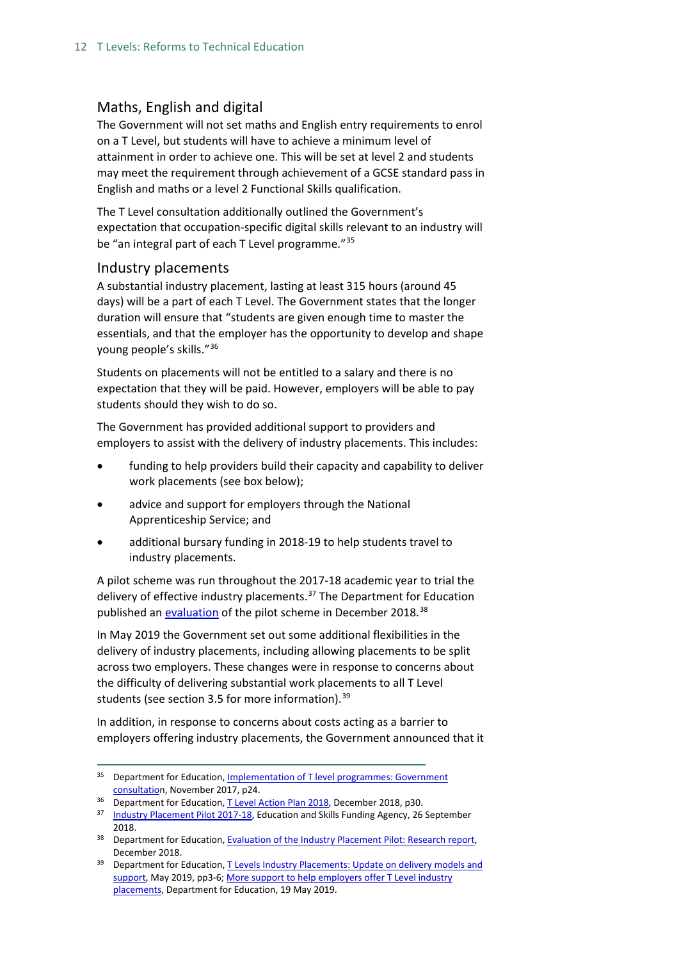#### <span id="page-11-0"></span>Maths, English and digital

The Government will not set maths and English entry requirements to enrol on a T Level, but students will have to achieve a minimum level of attainment in order to achieve one. This will be set at level 2 and students may meet the requirement through achievement of a GCSE standard pass in English and maths or a level 2 Functional Skills qualification.

The T Level consultation additionally outlined the Government's expectation that occupation-specific digital skills relevant to an industry will be "an integral part of each T Level programme."<sup>[35](#page-11-2)</sup>

#### <span id="page-11-1"></span>Industry placements

A substantial industry placement, lasting at least 315 hours (around 45 days) will be a part of each T Level. The Government states that the longer duration will ensure that "students are given enough time to master the essentials, and that the employer has the opportunity to develop and shape young people's skills."[36](#page-11-3)

Students on placements will not be entitled to a salary and there is no expectation that they will be paid. However, employers will be able to pay students should they wish to do so.

The Government has provided additional support to providers and employers to assist with the delivery of industry placements. This includes:

- funding to help providers build their capacity and capability to deliver work placements (see box below);
- advice and support for employers through the National Apprenticeship Service; and
- additional bursary funding in 2018-19 to help students travel to industry placements.

A pilot scheme was run throughout the 2017-18 academic year to trial the delivery of effective industry placements.<sup>[37](#page-11-4)</sup> The Department for Education published an [evaluation](https://assets.publishing.service.gov.uk/government/uploads/system/uploads/attachment_data/file/762138/Evaluation_of_the_Industry_Placements_Pilot_-_Research_report_Dec2018.pdf) of the pilot scheme in December 2018.<sup>[38](#page-11-5)</sup>

In May 2019 the Government set out some additional flexibilities in the delivery of industry placements, including allowing placements to be split across two employers. These changes were in response to concerns about the difficulty of delivering substantial work placements to all T Level students (see section 3.5 for more information).  $39$ 

In addition, in response to concerns about costs acting as a barrier to employers offering industry placements, the Government announced that it

<span id="page-11-2"></span><sup>&</sup>lt;sup>35</sup> Department for Education, Implementation of T level programmes: Government [consultation](https://consult.education.gov.uk/technical-education/implementation-of-t-level-programmes/supporting_documents/T%20level%20consultation.pdf), November 2017, p24.

<span id="page-11-3"></span><sup>&</sup>lt;sup>36</sup> Department for Education[, T Level Action Plan 2018,](https://assets.publishing.service.gov.uk/government/uploads/system/uploads/attachment_data/file/762137/T_Level_action_plan_2018.pdf) December 2018, p30.

<span id="page-11-4"></span><sup>&</sup>lt;sup>37</sup> [Industry Placement Pilot 2017-18,](https://www.gov.uk/guidance/work-placement-capacity-and-delivery-fund-principles-for-high-quality-work-placements#industry-placement-pilot-2017-to-2018) Education and Skills Funding Agency, 26 September 2018.

<span id="page-11-5"></span><sup>&</sup>lt;sup>38</sup> Department for Education, **Evaluation of the Industry Placement Pilot: Research report,** December 2018.

<span id="page-11-6"></span><sup>&</sup>lt;sup>39</sup> Department for Education, T Levels Industry Placements: Update on delivery models and [support,](https://assets.publishing.service.gov.uk/government/uploads/system/uploads/attachment_data/file/802703/Industry_placements_policy_update.pdf) May 2019, pp3-6[; More support to help employers offer T Level industry](https://www.gov.uk/government/news/more-support-to-help-employers-offer-t-level-industry-placements)  [placements,](https://www.gov.uk/government/news/more-support-to-help-employers-offer-t-level-industry-placements) Department for Education, 19 May 2019.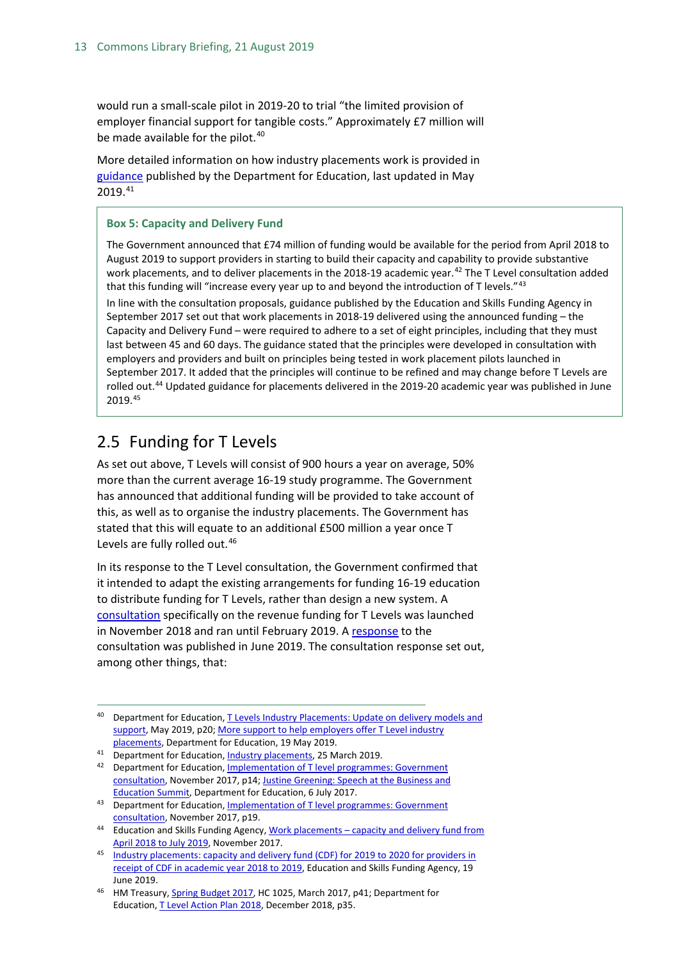would run a small-scale pilot in 2019-20 to trial "the limited provision of employer financial support for tangible costs." Approximately £7 million will be made available for the pilot.<sup>[40](#page-12-1)</sup>

More detailed information on how industry placements work is provided in [guidance](https://www.gov.uk/guidance/industry-placements) published by the Department for Education, last updated in May 2019. [41](#page-12-2)

#### **Box 5: Capacity and Delivery Fund**

The Government announced that £74 million of funding would be available for the period from April 2018 to August 2019 to support providers in starting to build their capacity and capability to provide substantive work placements, and to deliver placements in the 2018-19 academic year.<sup>[42](#page-12-3)</sup> The T Level consultation added that this funding will "increase every year up to and beyond the introduction of T levels."[43](#page-12-4) In line with the consultation proposals, guidance published by the Education and Skills Funding Agency in

September 2017 set out that work placements in 2018-19 delivered using the announced funding – the Capacity and Delivery Fund – were required to adhere to a set of eight principles, including that they must last between 45 and 60 days. The guidance stated that the principles were developed in consultation with employers and providers and built on principles being tested in work placement pilots launched in September 2017. It added that the principles will continue to be refined and may change before T Levels are rolled out.<sup>[44](#page-12-5)</sup> Updated guidance for placements delivered in the 2019-20 academic year was published in June 2019.[45](#page-12-6)

## <span id="page-12-0"></span>2.5 Funding for T Levels

As set out above, T Levels will consist of 900 hours a year on average, 50% more than the current average 16-19 study programme. The Government has announced that additional funding will be provided to take account of this, as well as to organise the industry placements. The Government has stated that this will equate to an additional £500 million a year once T Levels are fully rolled out.<sup>[46](#page-12-7)</sup>

In its response to the T Level consultation, the Government confirmed that it intended to adapt the existing arrangements for funding 16-19 education to distribute funding for T Levels, rather than design a new system. A [consultation](https://www.gov.uk/government/consultations/funding-for-the-delivery-of-t-levels) specifically on the revenue funding for T Levels was launched in November 2018 and ran until February 2019. [A response](https://assets.publishing.service.gov.uk/government/uploads/system/uploads/attachment_data/file/809240/T_Levels_funding_consultation_response.pdf) to the consultation was published in June 2019. The consultation response set out, among other things, that:

<span id="page-12-1"></span><sup>&</sup>lt;sup>40</sup> Department for Education, T Levels Industry Placements: Update on delivery models and [support,](https://assets.publishing.service.gov.uk/government/uploads/system/uploads/attachment_data/file/802703/Industry_placements_policy_update.pdf) May 2019, p20; More support to help employers offer T Level industry [placements,](https://www.gov.uk/government/news/more-support-to-help-employers-offer-t-level-industry-placements) Department for Education, 19 May 2019.

<span id="page-12-2"></span><sup>41</sup> Department for Education[, Industry placements,](https://www.gov.uk/guidance/industry-placements) 25 March 2019.

<span id="page-12-3"></span><sup>42</sup> Department for Education, Implementation of T level programmes: Government [consultation,](https://consult.education.gov.uk/technical-education/implementation-of-t-level-programmes/supporting_documents/T%20level%20consultation.pdf) November 2017, p14[; Justine Greening: Speech at the Business and](https://www.gov.uk/government/speeches/justine-greening-speech-at-the-business-and-education-summit)  [Education Summit,](https://www.gov.uk/government/speeches/justine-greening-speech-at-the-business-and-education-summit) Department for Education, 6 July 2017.

<span id="page-12-4"></span><sup>43</sup> Department for Education, Implementation of T level programmes: Government [consultation,](https://consult.education.gov.uk/technical-education/implementation-of-t-level-programmes/supporting_documents/T%20level%20consultation.pdf) November 2017, p19.

<span id="page-12-5"></span><sup>44</sup> Education and Skills Funding Agency, Work placements - capacity and delivery fund from [April 2018 to July 2019,](https://www.gov.uk/guidance/work-placements-capacity-and-delivery-fund-from-april-2018-to-july-2019) November 2017.

<span id="page-12-6"></span><sup>45</sup> Industry placements: capacity and delivery fund (CDF) for 2019 to 2020 for providers in [receipt of CDF in academic year 2018 to 2019,](https://www.gov.uk/guidance/industry-placements-capacity-and-delivery-fund-cdf-for-academic-year-2019-to-2020) Education and Skills Funding Agency, 19 June 2019.

<span id="page-12-7"></span><sup>&</sup>lt;sup>46</sup> HM Treasury[, Spring Budget 2017,](https://www.gov.uk/government/uploads/system/uploads/attachment_data/file/597467/spring_budget_2017_web.pdf) HC 1025, March 2017, p41; Department for Education[, T Level Action Plan 2018,](https://assets.publishing.service.gov.uk/government/uploads/system/uploads/attachment_data/file/762137/T_Level_action_plan_2018.pdf) December 2018, p35.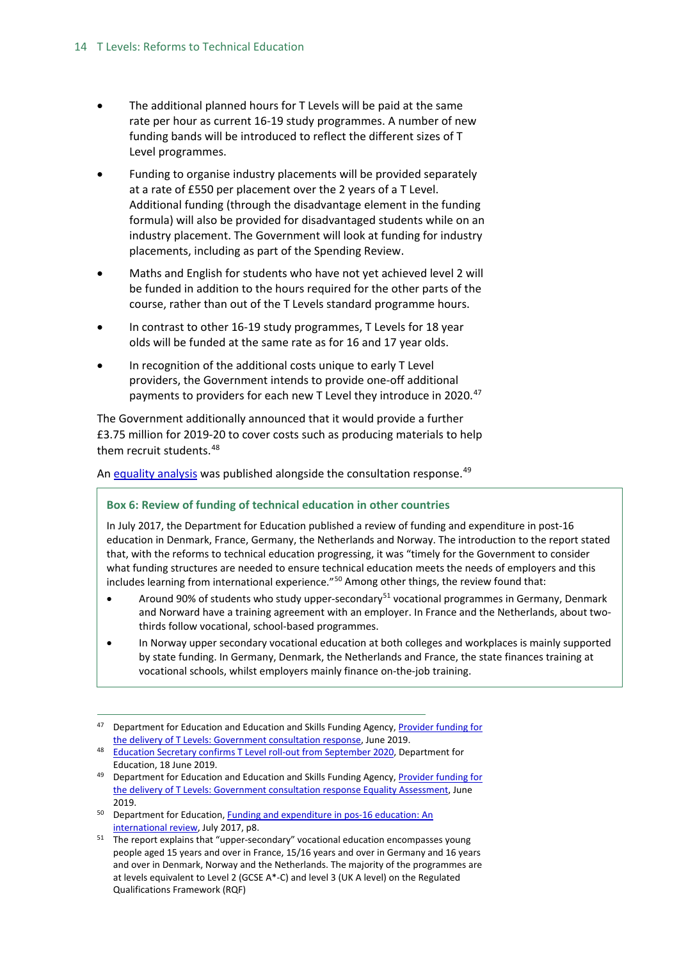- The additional planned hours for T Levels will be paid at the same rate per hour as current 16-19 study programmes. A number of new funding bands will be introduced to reflect the different sizes of T Level programmes.
- Funding to organise industry placements will be provided separately at a rate of £550 per placement over the 2 years of a T Level. Additional funding (through the disadvantage element in the funding formula) will also be provided for disadvantaged students while on an industry placement. The Government will look at funding for industry placements, including as part of the Spending Review.
- Maths and English for students who have not yet achieved level 2 will be funded in addition to the hours required for the other parts of the course, rather than out of the T Levels standard programme hours.
- In contrast to other 16-19 study programmes, T Levels for 18 year olds will be funded at the same rate as for 16 and 17 year olds.
- In recognition of the additional costs unique to early T Level providers, the Government intends to provide one-off additional payments to providers for each new T Level they introduce in 2020.<sup>[47](#page-13-0)</sup>

The Government additionally announced that it would provide a further £3.75 million for 2019-20 to cover costs such as producing materials to help them recruit students.<sup>[48](#page-13-1)</sup>

A[n equality analysis](https://assets.publishing.service.gov.uk/government/uploads/system/uploads/attachment_data/file/809294/T_Level_funding_consultation_equality_assessment.pdf) was published alongside the consultation response.<sup>[49](#page-13-2)</sup>

#### **Box 6: Review of funding of technical education in other countries**

In July 2017, the Department for Education published a review of funding and expenditure in post-16 education in Denmark, France, Germany, the Netherlands and Norway. The introduction to the report stated that, with the reforms to technical education progressing, it was "timely for the Government to consider what funding structures are needed to ensure technical education meets the needs of employers and this includes learning from international experience."[50](#page-13-3) Among other things, the review found that:

- Around 90% of students who study upper-secondary<sup>[51](#page-13-4)</sup> vocational programmes in Germany, Denmark and Norward have a training agreement with an employer. In France and the Netherlands, about twothirds follow vocational, school-based programmes.
- In Norway upper secondary vocational education at both colleges and workplaces is mainly supported by state funding. In Germany, Denmark, the Netherlands and France, the state finances training at vocational schools, whilst employers mainly finance on-the-job training.

- <span id="page-13-3"></span><sup>50</sup> Department for Education, Funding and expenditure in pos-16 education: An [international review,](https://www.gov.uk/government/uploads/system/uploads/attachment_data/file/635148/Funding-and_expenditure_in_post-16_education.pdf) July 2017, p8.
- <span id="page-13-4"></span><sup>51</sup> The report explains that "upper-secondary" vocational education encompasses young people aged 15 years and over in France, 15/16 years and over in Germany and 16 years and over in Denmark, Norway and the Netherlands. The majority of the programmes are at levels equivalent to Level 2 (GCSE A\*-C) and level 3 (UK A level) on the Regulated Qualifications Framework (RQF)

<span id="page-13-0"></span>Department for Education and Education and Skills Funding Agency, Provider funding for [the delivery of T Levels: Government consultation response,](https://assets.publishing.service.gov.uk/government/uploads/system/uploads/attachment_data/file/809240/T_Levels_funding_consultation_response.pdf) June 2019.

<span id="page-13-1"></span><sup>48</sup> [Education Secretary confirms T Level roll-out from September 2020,](https://www.gov.uk/government/news/education-secretary-confirms-t-level-roll-out-from-september-2020) Department for Education, 18 June 2019.

<span id="page-13-2"></span><sup>&</sup>lt;sup>49</sup> Department for Education and Education and Skills Funding Agency, Provider funding for the delivery of T [Levels: Government consultation response](https://assets.publishing.service.gov.uk/government/uploads/system/uploads/attachment_data/file/809294/T_Level_funding_consultation_equality_assessment.pdf) Equality Assessment, June 2019.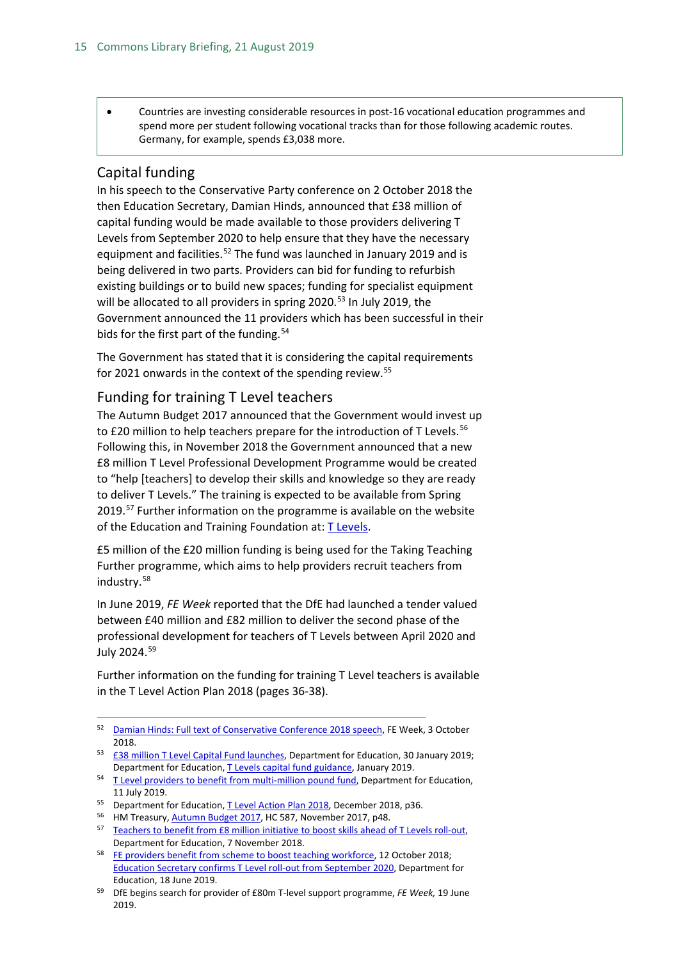• Countries are investing considerable resources in post-16 vocational education programmes and spend more per student following vocational tracks than for those following academic routes. Germany, for example, spends £3,038 more.

## <span id="page-14-0"></span>Capital funding

In his speech to the Conservative Party conference on 2 October 2018 the then Education Secretary, Damian Hinds, announced that £38 million of capital funding would be made available to those providers delivering T Levels from September 2020 to help ensure that they have the necessary equipment and facilities.<sup>[52](#page-14-2)</sup> The fund was launched in January 2019 and is being delivered in two parts. Providers can bid for funding to refurbish existing buildings or to build new spaces; funding for specialist equipment will be allocated to all providers in spring  $2020$ .<sup>[53](#page-14-3)</sup> In July 2019, the Government announced the 11 providers which has been successful in their bids for the first part of the funding.<sup>[54](#page-14-4)</sup>

The Government has stated that it is considering the capital requirements for 2021 onwards in the context of the spending review.<sup>[55](#page-14-5)</sup>

#### <span id="page-14-1"></span>Funding for training T Level teachers

The Autumn Budget 2017 announced that the Government would invest up to £20 million to help teachers prepare for the introduction of T Levels.<sup>[56](#page-14-6)</sup> Following this, in November 2018 the Government announced that a new £8 million T Level Professional Development Programme would be created to "help [teachers] to develop their skills and knowledge so they are ready to deliver T Levels." The training is expected to be available from Spring 2019.<sup>[57](#page-14-7)</sup> Further information on the programme is available on the website of the Education and Training Foundation at: [T Levels.](https://www.et-foundation.co.uk/supporting/technical-education/t-levels/)

£5 million of the £20 million funding is being used for the Taking Teaching Further programme, which aims to help providers recruit teachers from industry.[58](#page-14-8)

In June 2019, *FE Week* reported that the DfE had launched a tender valued between £40 million and £82 million to deliver the second phase of the professional development for teachers of T Levels between April 2020 and July 2024.[59](#page-14-9)

Further information on the funding for training T Level teachers is available in the T Level Action Plan 2018 (pages 36-38).

<span id="page-14-2"></span> <sup>52</sup> [Damian Hinds: Full text of Conservative Conference 2018 speech,](https://feweek.co.uk/2018/10/03/damian-hinds-full-text-of-conservative-conference-2018-speech/) FE Week, 3 October 2018.

<span id="page-14-3"></span><sup>53</sup> [£38 million T Level Capital Fund launches,](https://www.gov.uk/government/news/38-million-t-level-capital-fund-launches--3) Department for Education, 30 January 2019; Department for Education[, T Levels capital fund guidance,](https://www.gov.uk/government/publications/t-levels-capital-fund) January 2019.

<span id="page-14-4"></span><sup>&</sup>lt;sup>54</sup> [T Level providers to benefit from multi-million pound fund,](https://www.gov.uk/government/news/t-level-providers-to-benefit-from-multi-million-pound-fund--2) Department for Education, 11 July 2019.

<span id="page-14-5"></span><sup>&</sup>lt;sup>55</sup> Department for Education[, T Level Action Plan 2018,](https://assets.publishing.service.gov.uk/government/uploads/system/uploads/attachment_data/file/762137/T_Level_action_plan_2018.pdf) December 2018, p36.

<span id="page-14-6"></span><sup>&</sup>lt;sup>56</sup> HM Treasury, **Autumn Budget 2017**, HC 587, November 2017, p48.

<span id="page-14-7"></span><sup>&</sup>lt;sup>57</sup> Teachers to benefit from £8 million initiative to boost skills ahead of T Levels roll-out, Department for Education, 7 November 2018.

<span id="page-14-8"></span><sup>&</sup>lt;sup>58</sup> [FE providers benefit from scheme to boost teaching workforce,](https://www.gov.uk/government/news/fe-providers-benefit-from-scheme-to-boost-teaching-workforce) 12 October 2018; [Education Secretary confirms T Level roll-out from September 2020,](https://www.gov.uk/government/news/education-secretary-confirms-t-level-roll-out-from-september-2020) Department for Education, 18 June 2019.

<span id="page-14-9"></span><sup>59</sup> DfE begins search for provider of £80m T-level support programme, *FE Week,* 19 June 2019.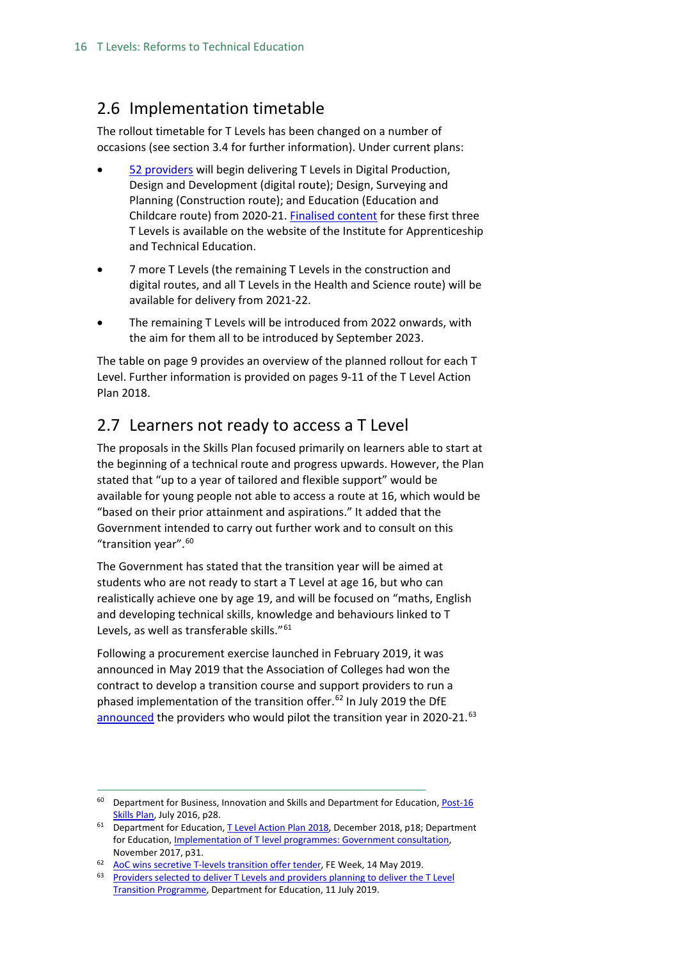## <span id="page-15-0"></span>2.6 Implementation timetable

The rollout timetable for T Levels has been changed on a number of occasions (see section 3.4 for further information). Under current plans:

- [52 providers](https://www.gov.uk/government/publications/providers-selected-to-deliver-t-levels-in-academic-year-2020-to-2021/providers-selected-to-deliver-t-levels-in-academic-year-2020-to-2021) will begin delivering T Levels in Digital Production, Design and Development (digital route); Design, Surveying and Planning (Construction route); and Education (Education and Childcare route) from 2020-21. [Finalised content](https://www.instituteforapprenticeships.org/about/outline-content-for-first-new-t-levels/) for these first three T Levels is available on the website of the Institute for Apprenticeship and Technical Education.
- 7 more T Levels (the remaining T Levels in the construction and digital routes, and all T Levels in the Health and Science route) will be available for delivery from 2021-22.
- The remaining T Levels will be introduced from 2022 onwards, with the aim for them all to be introduced by September 2023.

The table on page 9 provides an overview of the planned rollout for each T Level. Further information is provided on pages 9-11 of the T Level Action Plan 2018.

## <span id="page-15-1"></span>2.7 Learners not ready to access a T Level

The proposals in the Skills Plan focused primarily on learners able to start at the beginning of a technical route and progress upwards. However, the Plan stated that "up to a year of tailored and flexible support" would be available for young people not able to access a route at 16, which would be "based on their prior attainment and aspirations." It added that the Government intended to carry out further work and to consult on this "transition year".<sup>[60](#page-15-2)</sup>

The Government has stated that the transition year will be aimed at students who are not ready to start a T Level at age 16, but who can realistically achieve one by age 19, and will be focused on "maths, English and developing technical skills, knowledge and behaviours linked to T Levels, as well as transferable skills."[61](#page-15-3)

Following a procurement exercise launched in February 2019, it was announced in May 2019 that the Association of Colleges had won the contract to develop a transition course and support providers to run a phased implementation of the transition offer.<sup>[62](#page-15-4)</sup> In July 2019 the DfE [announced](https://www.gov.uk/government/publications/providers-selected-to-deliver-t-levels) the providers who would pilot the transition year in 2020-21.<sup>[63](#page-15-5)</sup>

<span id="page-15-2"></span><sup>&</sup>lt;sup>60</sup> Department for Business, Innovation and Skills and Department for Education, Post-16 [Skills Plan,](https://www.gov.uk/government/uploads/system/uploads/attachment_data/file/536043/Post-16_Skills_Plan.pdf) July 2016, p28.

<span id="page-15-3"></span><sup>&</sup>lt;sup>61</sup> Department for Education[, T Level Action Plan 2018,](https://assets.publishing.service.gov.uk/government/uploads/system/uploads/attachment_data/file/762137/T_Level_action_plan_2018.pdf) December 2018, p18; Department for Education, *Implementation of T level programmes: Government consultation,* November 2017, p31.

<span id="page-15-4"></span><sup>62</sup> [AoC wins secretive T-levels transition offer tender,](https://feweek.co.uk/2019/05/14/aoc-wins-secretive-t-levels-transition-offer-tender/) FE Week, 14 May 2019.

<span id="page-15-5"></span><sup>&</sup>lt;sup>63</sup> Providers selected to deliver T Levels and providers planning to deliver the T Level [Transition Programme,](https://www.gov.uk/government/publications/providers-selected-to-deliver-t-levels) Department for Education, 11 July 2019.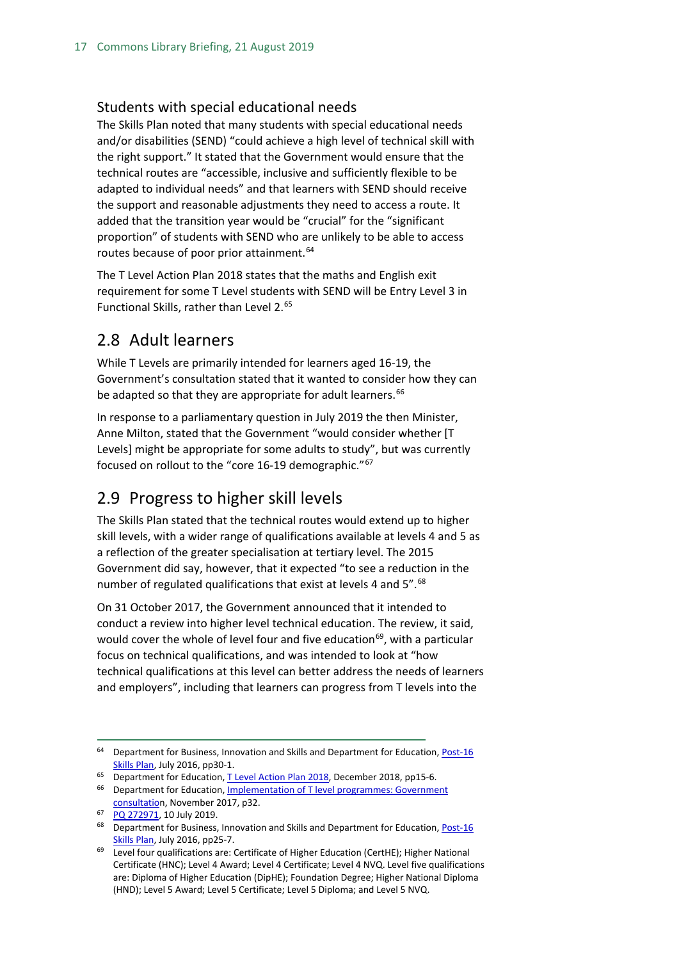#### <span id="page-16-0"></span>Students with special educational needs

The Skills Plan noted that many students with special educational needs and/or disabilities (SEND) "could achieve a high level of technical skill with the right support." It stated that the Government would ensure that the technical routes are "accessible, inclusive and sufficiently flexible to be adapted to individual needs" and that learners with SEND should receive the support and reasonable adjustments they need to access a route. It added that the transition year would be "crucial" for the "significant proportion" of students with SEND who are unlikely to be able to access routes because of poor prior attainment.<sup>[64](#page-16-3)</sup>

The T Level Action Plan 2018 states that the maths and English exit requirement for some T Level students with SEND will be Entry Level 3 in Functional Skills, rather than Level 2.[65](#page-16-4)

## <span id="page-16-1"></span>2.8 Adult learners

While T Levels are primarily intended for learners aged 16-19, the Government's consultation stated that it wanted to consider how they can be adapted so that they are appropriate for adult learners.<sup>[66](#page-16-5)</sup>

In response to a parliamentary question in July 2019 the then Minister, Anne Milton, stated that the Government "would consider whether [T Levels] might be appropriate for some adults to study", but was currently focused on rollout to the "core 16-19 demographic."[67](#page-16-6)

## <span id="page-16-2"></span>2.9 Progress to higher skill levels

The Skills Plan stated that the technical routes would extend up to higher skill levels, with a wider range of qualifications available at levels 4 and 5 as a reflection of the greater specialisation at tertiary level. The 2015 Government did say, however, that it expected "to see a reduction in the number of regulated qualifications that exist at levels 4 and 5".<sup>[68](#page-16-7)</sup>

On 31 October 2017, the Government announced that it intended to conduct a review into higher level technical education. The review, it said, would cover the whole of level four and five education<sup>69</sup>, with a particular focus on technical qualifications, and was intended to look at "how technical qualifications at this level can better address the needs of learners and employers", including that learners can progress from T levels into the

<span id="page-16-3"></span><sup>&</sup>lt;sup>64</sup> Department for Business, Innovation and Skills and Department for Education, Post-16 [Skills Plan,](https://www.gov.uk/government/uploads/system/uploads/attachment_data/file/536043/Post-16_Skills_Plan.pdf) July 2016, pp30-1.

<span id="page-16-4"></span><sup>&</sup>lt;sup>65</sup> Department for Education[, T Level Action Plan 2018,](https://assets.publishing.service.gov.uk/government/uploads/system/uploads/attachment_data/file/762137/T_Level_action_plan_2018.pdf) December 2018, pp15-6.

<span id="page-16-5"></span><sup>&</sup>lt;sup>66</sup> Department for Education, Implementation of T level programmes: Government [consultation](https://consult.education.gov.uk/technical-education/implementation-of-t-level-programmes/supporting_documents/T%20level%20consultation.pdf), November 2017, p32.

<span id="page-16-6"></span><sup>67</sup> [PQ 272971,](https://www.parliament.uk/written-questions-answers-statements/written-question/commons/2019-07-03/272917) 10 July 2019.

<span id="page-16-7"></span> $68$  Department for Business, Innovation and Skills and Department for Education, Post-16 [Skills Plan,](https://www.gov.uk/government/uploads/system/uploads/attachment_data/file/536043/Post-16_Skills_Plan.pdf) July 2016, pp25-7.

<span id="page-16-8"></span><sup>&</sup>lt;sup>69</sup> Level four qualifications are: Certificate of Higher Education (CertHE); Higher National Certificate (HNC); Level 4 Award; Level 4 Certificate; Level 4 NVQ. Level five qualifications are: Diploma of Higher Education (DipHE); Foundation Degree; Higher National Diploma (HND); Level 5 Award; Level 5 Certificate; Level 5 Diploma; and Level 5 NVQ.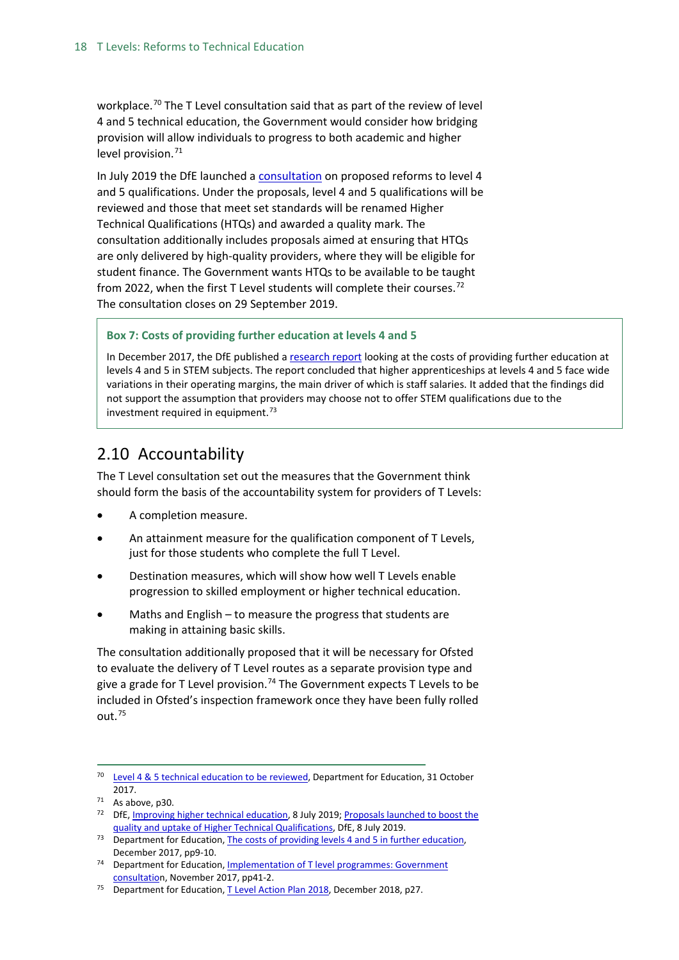workplace.<sup>[70](#page-17-1)</sup> The T Level consultation said that as part of the review of level 4 and 5 technical education, the Government would consider how bridging provision will allow individuals to progress to both academic and higher level provision. $71$ 

In July 2019 the DfE launched a [consultation](https://www.gov.uk/government/consultations/improving-higher-technical-education) on proposed reforms to level 4 and 5 qualifications. Under the proposals, level 4 and 5 qualifications will be reviewed and those that meet set standards will be renamed Higher Technical Qualifications (HTQs) and awarded a quality mark. The consultation additionally includes proposals aimed at ensuring that HTQs are only delivered by high-quality providers, where they will be eligible for student finance. The Government wants HTQs to be available to be taught from 2022, when the first T Level students will complete their courses.<sup>[72](#page-17-3)</sup> The consultation closes on 29 September 2019.

#### **Box 7: Costs of providing further education at levels 4 and 5**

In December 2017, the DfE published a [research report](https://www.gov.uk/government/publications/the-costs-of-providing-levels-4-and-5-in-further-education) looking at the costs of providing further education at levels 4 and 5 in STEM subjects. The report concluded that higher apprenticeships at levels 4 and 5 face wide variations in their operating margins, the main driver of which is staff salaries. It added that the findings did not support the assumption that providers may choose not to offer STEM qualifications due to the investment required in equipment. $73$ 

## <span id="page-17-0"></span>2.10 Accountability

The T Level consultation set out the measures that the Government think should form the basis of the accountability system for providers of T Levels:

- A completion measure.
- An attainment measure for the qualification component of T Levels, just for those students who complete the full T Level.
- Destination measures, which will show how well T Levels enable progression to skilled employment or higher technical education.
- Maths and English  $-$  to measure the progress that students are making in attaining basic skills.

The consultation additionally proposed that it will be necessary for Ofsted to evaluate the delivery of T Level routes as a separate provision type and give a grade for T Level provision.<sup>[74](#page-17-5)</sup> The Government expects T Levels to be included in Ofsted's inspection framework once they have been fully rolled out.[75](#page-17-6)

<span id="page-17-1"></span><sup>&</sup>lt;sup>70</sup> [Level 4 & 5 technical education to be reviewed,](https://www.gov.uk/government/news/level-4-5-technical-education-to-be-reviewed) Department for Education, 31 October 2017.

<span id="page-17-2"></span> $71$  As above, p30.

<span id="page-17-3"></span><sup>&</sup>lt;sup>72</sup> DfE[, Improving higher technical education,](https://www.gov.uk/government/consultations/improving-higher-technical-education) 8 July 2019; Proposals launched to boost the [quality and uptake of Higher Technical Qualifications,](https://www.gov.uk/government/news/proposals-launched-to-boost-the-quality-and-uptake-of-higher-technical-qualifications) DfE, 8 July 2019.

<span id="page-17-4"></span><sup>&</sup>lt;sup>73</sup> Department for Education[, The costs of providing levels 4 and 5 in further education,](https://www.gov.uk/government/publications/the-costs-of-providing-levels-4-and-5-in-further-education) December 2017, pp9-10.

<span id="page-17-5"></span><sup>&</sup>lt;sup>74</sup> Department for Education, Implementation of T level programmes: Government [consultation](https://consult.education.gov.uk/technical-education/implementation-of-t-level-programmes/supporting_documents/T%20level%20consultation.pdf), November 2017, pp41-2.

<span id="page-17-6"></span><sup>&</sup>lt;sup>75</sup> Department for Education[, T Level Action Plan 2018,](https://assets.publishing.service.gov.uk/government/uploads/system/uploads/attachment_data/file/762137/T_Level_action_plan_2018.pdf) December 2018, p27.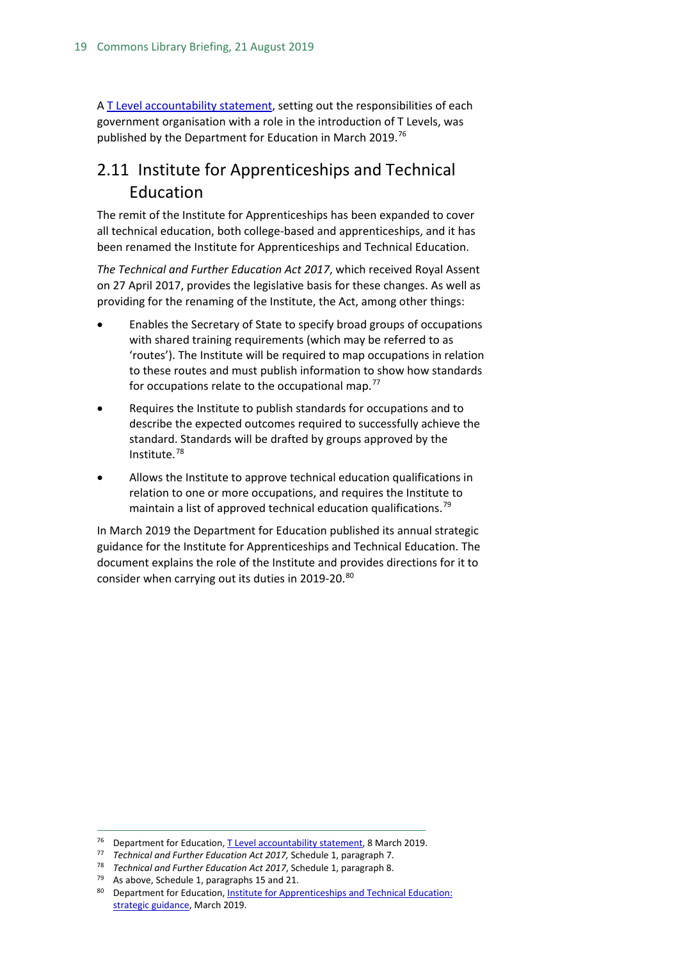A [T Level accountability statement,](https://www.gov.uk/government/publications/t-level-accountability-statement) setting out the responsibilities of each government organisation with a role in the introduction of T Levels, was published by the Department for Education in March 2019.<sup>[76](#page-18-1)</sup>

## <span id="page-18-0"></span>2.11 Institute for Apprenticeships and Technical Education

The remit of the Institute for Apprenticeships has been expanded to cover all technical education, both college-based and apprenticeships, and it has been renamed the Institute for Apprenticeships and Technical Education.

*The Technical and Further Education Act 2017*, which received Royal Assent on 27 April 2017, provides the legislative basis for these changes. As well as providing for the renaming of the Institute, the Act, among other things:

- Enables the Secretary of State to specify broad groups of occupations with shared training requirements (which may be referred to as 'routes'). The Institute will be required to map occupations in relation to these routes and must publish information to show how standards for occupations relate to the occupational map.<sup>[77](#page-18-2)</sup>
- Requires the Institute to publish standards for occupations and to describe the expected outcomes required to successfully achieve the standard. Standards will be drafted by groups approved by the Institute.[78](#page-18-3)
- Allows the Institute to approve technical education qualifications in relation to one or more occupations, and requires the Institute to maintain a list of approved technical education qualifications.<sup>[79](#page-18-4)</sup>

In March 2019 the Department for Education published its annual strategic guidance for the Institute for Apprenticeships and Technical Education. The document explains the role of the Institute and provides directions for it to consider when carrying out its duties in 2019-20.[80](#page-18-5)

<span id="page-18-1"></span><sup>&</sup>lt;sup>76</sup> Department for Education[, T Level accountability statement,](https://www.gov.uk/government/publications/t-level-accountability-statement) 8 March 2019.

<span id="page-18-2"></span><sup>77</sup> *Technical and Further Education Act 2017,* Schedule 1, paragraph 7.

<span id="page-18-4"></span><span id="page-18-3"></span><sup>78</sup> *Technical and Further Education Act 2017*, Schedule 1, paragraph 8.

 $79$  As above, Schedule 1, paragraphs 15 and 21.

<span id="page-18-5"></span><sup>80</sup> Department for Education, Institute for Apprenticeships and Technical Education: [strategic guidance,](https://www.gov.uk/government/publications/institute-for-apprenticeships-and-technical-education-strategic-guidance) March 2019.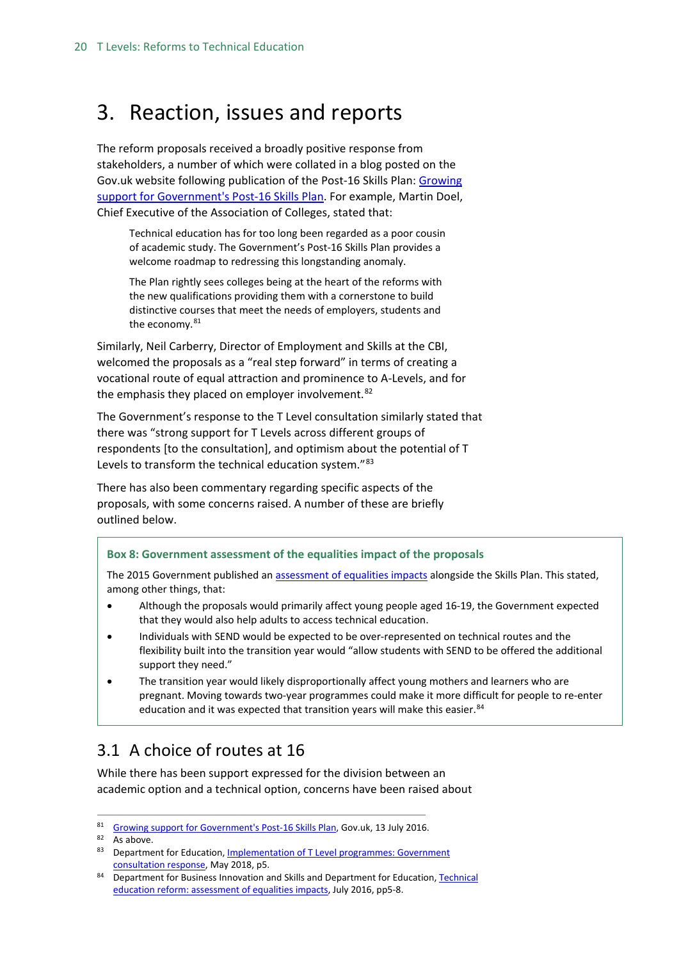## <span id="page-19-0"></span>3. Reaction, issues and reports

The reform proposals received a broadly positive response from stakeholders, a number of which were collated in a blog posted on the Gov.uk website following publication of the Post-16 Skills Plan: [Growing](https://dfemedia.blog.gov.uk/2016/07/13/growing-support-for-governments-post-16-skills-plan-for-technical-education-reform/)  [support for Government's Post-16 Skills Plan.](https://dfemedia.blog.gov.uk/2016/07/13/growing-support-for-governments-post-16-skills-plan-for-technical-education-reform/) For example, Martin Doel, Chief Executive of the Association of Colleges, stated that:

Technical education has for too long been regarded as a poor cousin of academic study. The Government's Post-16 Skills Plan provides a welcome roadmap to redressing this longstanding anomaly.

The Plan rightly sees colleges being at the heart of the reforms with the new qualifications providing them with a cornerstone to build distinctive courses that meet the needs of employers, students and the economy.<sup>[81](#page-19-2)</sup>

Similarly, Neil Carberry, Director of Employment and Skills at the CBI, welcomed the proposals as a "real step forward" in terms of creating a vocational route of equal attraction and prominence to A-Levels, and for the emphasis they placed on employer involvement.<sup>[82](#page-19-3)</sup>

The Government's response to the T Level consultation similarly stated that there was "strong support for T Levels across different groups of respondents [to the consultation], and optimism about the potential of T Levels to transform the technical education system."[83](#page-19-4)

There has also been commentary regarding specific aspects of the proposals, with some concerns raised. A number of these are briefly outlined below.

#### **Box 8: Government assessment of the equalities impact of the proposals**

The 2015 Government published a[n assessment of equalities impacts](https://www.gov.uk/government/publications/technical-education-reform-impact-assessment) alongside the Skills Plan. This stated, among other things, that:

- Although the proposals would primarily affect young people aged 16-19, the Government expected that they would also help adults to access technical education.
- Individuals with SEND would be expected to be over-represented on technical routes and the flexibility built into the transition year would "allow students with SEND to be offered the additional support they need."
- The transition year would likely disproportionally affect young mothers and learners who are pregnant. Moving towards two-year programmes could make it more difficult for people to re-enter education and it was expected that transition years will make this easier.<sup>[84](#page-19-5)</sup>

## <span id="page-19-1"></span>3.1 A choice of routes at 16

While there has been support expressed for the division between an academic option and a technical option, concerns have been raised about

<span id="page-19-3"></span><span id="page-19-2"></span><sup>81</sup> [Growing support for Government's Post-16 Skills Plan,](https://dfemedia.blog.gov.uk/2016/07/13/growing-support-for-governments-post-16-skills-plan-for-technical-education-reform/) Gov.uk, 13 July 2016.

<sup>82</sup> As above.

<span id="page-19-4"></span><sup>83</sup> Department for Education, *Implementation of T Level programmes: Government* [consultation response,](https://assets.publishing.service.gov.uk/government/uploads/system/uploads/attachment_data/file/711472/Implementation_of_T_Level_programmes-Government_consultation_response.pdf) May 2018, p5.

<span id="page-19-5"></span><sup>84</sup> Department for Business Innovation and Skills and Department for Education, Technical [education reform: assessment of equalities impacts,](https://www.gov.uk/government/uploads/system/uploads/attachment_data/file/536072/Tecnical_Education_Reform-Assessment_Of_Equalities_Impact.pdf) July 2016, pp5-8.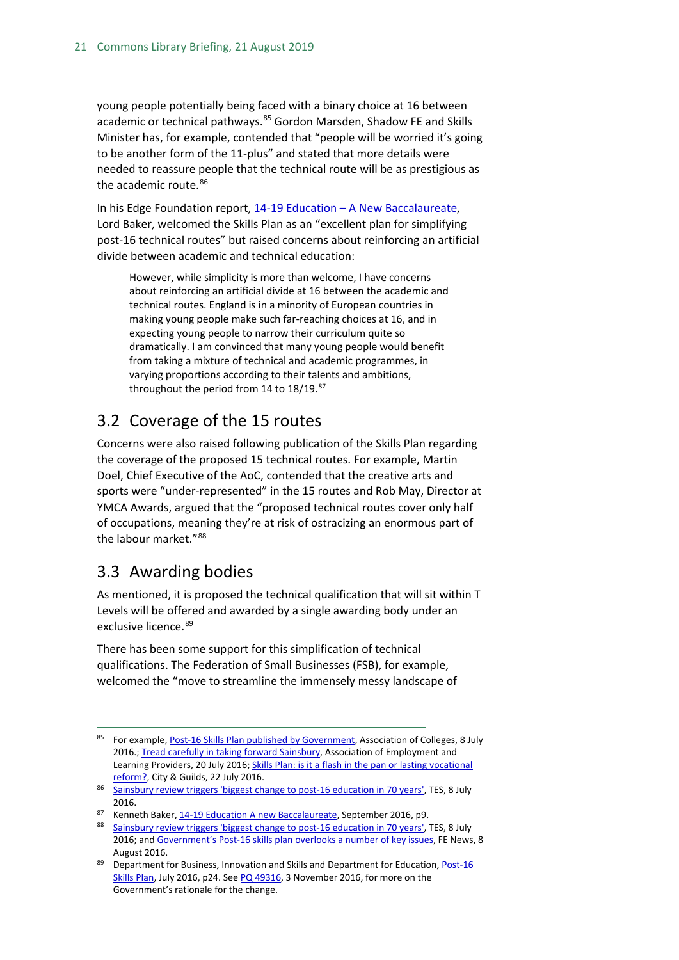young people potentially being faced with a binary choice at 16 between academic or technical pathways.<sup>[85](#page-20-2)</sup> Gordon Marsden, Shadow FE and Skills Minister has, for example, contended that "people will be worried it's going to be another form of the 11-plus" and stated that more details were needed to reassure people that the technical route will be as prestigious as the academic route.<sup>[86](#page-20-3)</sup>

In his Edge Foundation report, 14-19 Education – [A New Baccalaureate,](http://www.edge.co.uk/sites/default/files/documents/14-19_education_-_a_new_baccalaureate.pdf) Lord Baker, welcomed the Skills Plan as an "excellent plan for simplifying post-16 technical routes" but raised concerns about reinforcing an artificial divide between academic and technical education:

However, while simplicity is more than welcome, I have concerns about reinforcing an artificial divide at 16 between the academic and technical routes. England is in a minority of European countries in making young people make such far-reaching choices at 16, and in expecting young people to narrow their curriculum quite so dramatically. I am convinced that many young people would benefit from taking a mixture of technical and academic programmes, in varying proportions according to their talents and ambitions, throughout the period from 14 to 18/19.[87](#page-20-4)

## <span id="page-20-0"></span>3.2 Coverage of the 15 routes

Concerns were also raised following publication of the Skills Plan regarding the coverage of the proposed 15 technical routes. For example, Martin Doel, Chief Executive of the AoC, contended that the creative arts and sports were "under-represented" in the 15 routes and Rob May, Director at YMCA Awards, argued that the "proposed technical routes cover only half of occupations, meaning they're at risk of ostracizing an enormous part of the labour market."[88](#page-20-5)

## <span id="page-20-1"></span>3.3 Awarding bodies

As mentioned, it is proposed the technical qualification that will sit within T Levels will be offered and awarded by a single awarding body under an exclusive licence. [89](#page-20-6)

There has been some support for this simplification of technical qualifications. The Federation of Small Businesses (FSB), for example, welcomed the "move to streamline the immensely messy landscape of

<span id="page-20-2"></span> <sup>85</sup> For example[, Post-16 Skills Plan published by Government,](https://www.aoc.co.uk/news/post-16-skills-plan-published-government) Association of Colleges, 8 July 2016.[; Tread carefully in taking forward Sainsbury,](https://www.aelp.org.uk/news/aelp-blog/details/tread-carefully-in-taking-forward-sainsbury/) Association of Employment and Learning Providers, 20 July 2016; Skills Plan: is it a flash in the pan or lasting vocational [reform?,](http://www.cityandguilds.com/news/July-2016/Skills-Plan#.WCBlctKLS01) City & Guilds, 22 July 2016.

<span id="page-20-3"></span><sup>86</sup> [Sainsbury review triggers 'biggest change to post-16 education in 70 years',](https://www.tes.com/news/further-education/breaking-news/sainsbury-review-triggers-biggest-change-post-16-education-70) TES, 8 July 2016.

<span id="page-20-4"></span><sup>87</sup> Kenneth Baker[, 14-19 Education A new Baccalaureate,](http://www.edge.co.uk/sites/default/files/documents/14-19_education_-_a_new_baccalaureate.pdf) September 2016, p9.

<span id="page-20-5"></span><sup>88</sup> [Sainsbury review triggers 'biggest change to post-16 education in 70 years',](https://www.tes.com/news/further-education/breaking-news/sainsbury-review-triggers-biggest-change-post-16-education-70) TES, 8 July 2016; an[d Government's Post-16 skills plan overlooks a number of key issues,](https://www.fenews.co.uk/featured-article/government-s-post-16-skills-plan-overlooks-a-number-of-key-issues-12379) FE News, 8 August 2016.

<span id="page-20-6"></span><sup>89</sup> Department for Business, Innovation and Skills and Department for Education, Post-16 [Skills Plan,](https://www.gov.uk/government/uploads/system/uploads/attachment_data/file/536043/Post-16_Skills_Plan.pdf) July 2016, p24. See [PQ 49316,](http://www.parliament.uk/written-questions-answers-statements/written-question/commons/2016-10-19/49316) 3 November 2016, for more on the Government's rationale for the change.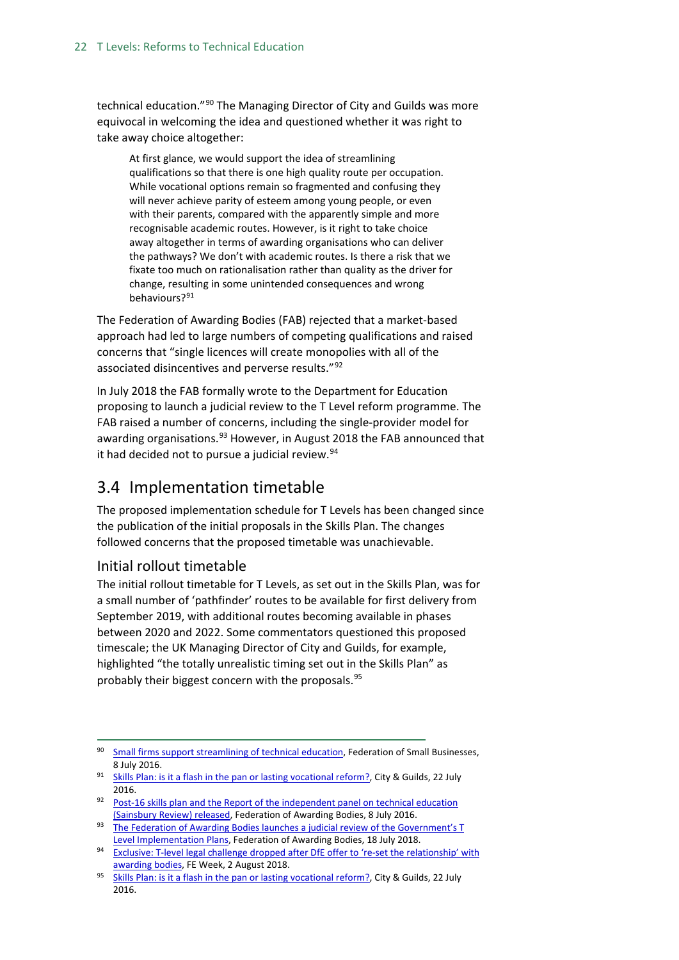technical education."[90](#page-21-1) The Managing Director of City and Guilds was more equivocal in welcoming the idea and questioned whether it was right to take away choice altogether:

At first glance, we would support the idea of streamlining qualifications so that there is one high quality route per occupation. While vocational options remain so fragmented and confusing they will never achieve parity of esteem among young people, or even with their parents, compared with the apparently simple and more recognisable academic routes. However, is it right to take choice away altogether in terms of awarding organisations who can deliver the pathways? We don't with academic routes. Is there a risk that we fixate too much on rationalisation rather than quality as the driver for change, resulting in some unintended consequences and wrong behaviours?[91](#page-21-2)

The Federation of Awarding Bodies (FAB) rejected that a market-based approach had led to large numbers of competing qualifications and raised concerns that "single licences will create monopolies with all of the associated disincentives and perverse results."[92](#page-21-3)

In July 2018 the FAB formally wrote to the Department for Education proposing to launch a judicial review to the T Level reform programme. The FAB raised a number of concerns, including the single-provider model for awarding organisations.<sup>[93](#page-21-4)</sup> However, in August 2018 the FAB announced that it had decided not to pursue a judicial review.<sup>[94](#page-21-5)</sup>

## <span id="page-21-0"></span>3.4 Implementation timetable

The proposed implementation schedule for T Levels has been changed since the publication of the initial proposals in the Skills Plan. The changes followed concerns that the proposed timetable was unachievable.

## Initial rollout timetable

The initial rollout timetable for T Levels, as set out in the Skills Plan, was for a small number of 'pathfinder' routes to be available for first delivery from September 2019, with additional routes becoming available in phases between 2020 and 2022. Some commentators questioned this proposed timescale; the UK Managing Director of City and Guilds, for example, highlighted "the totally unrealistic timing set out in the Skills Plan" as probably their biggest concern with the proposals.<sup>[95](#page-21-6)</sup>

<span id="page-21-4"></span>93 The Federation of Awarding Bodies launches a judicial review of the Government's T [Level Implementation Plans,](http://www.awarding.org.uk/news/item/the-federation-of-awarding-bodies-launches-a-judicial-review-of-the-government-s-t-level-implementation-plans) Federation of Awarding Bodies, 18 July 2018.

<span id="page-21-1"></span><sup>&</sup>lt;sup>90</sup> [Small firms support streamlining of technical education,](http://www.fsb.org.uk/standing-up-for-you/national-offices/uk-westminster/press-releases/small-firms-support-streamlining-of-technical-education) Federation of Small Businesses, 8 July 2016.

<span id="page-21-2"></span><sup>91</sup> [Skills Plan: is it a flash in the pan or lasting vocational reform?,](http://www.cityandguilds.com/news/July-2016/Skills-Plan#.WCBscdKLS02) City & Guilds, 22 July 2016.

<span id="page-21-3"></span><sup>92</sup> Post-16 skills plan and the Report of the independent panel on technical education [\(Sainsbury Review\) released,](http://www.awarding.org.uk/news/item/post-16-skills-plan-and-the-report-of-the-independent-panel-on-technical-education-sainsbury-review-released) Federation of Awarding Bodies, 8 July 2016.

<span id="page-21-5"></span><sup>94</sup> Exclusive: T-level legal challenge dropped after DfE offer to 're-set the relationship' with [awarding bodies,](https://feweek.co.uk/2018/08/02/exclusive-t-level-legal-challenge-dropped-after-dfe-offer-to-re-set-the-relationship-with-awarding-bodies/) FE Week, 2 August 2018.

<span id="page-21-6"></span><sup>95</sup> [Skills Plan: is it a flash in the pan or lasting vocational reform?,](http://www.cityandguilds.com/news/July-2016/Skills-Plan#.WCB40dKLS01) City & Guilds, 22 July 2016.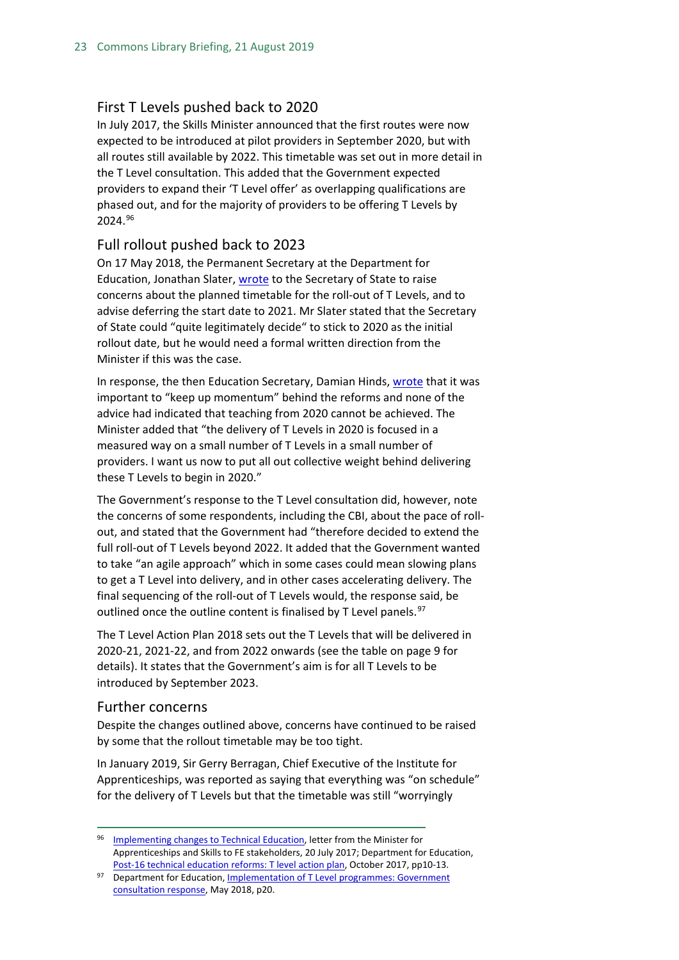#### First T Levels pushed back to 2020

In July 2017, the Skills Minister announced that the first routes were now expected to be introduced at pilot providers in September 2020, but with all routes still available by 2022. This timetable was set out in more detail in the T Level consultation. This added that the Government expected providers to expand their 'T Level offer' as overlapping qualifications are phased out, and for the majority of providers to be offering T Levels by 2024.[96](#page-22-1)

#### Full rollout pushed back to 2023

On 17 May 2018, the Permanent Secretary at the Department for Education, Jonathan Slater, [wrote](https://assets.publishing.service.gov.uk/government/uploads/system/uploads/attachment_data/file/710831/180517_Request_for_Ministerial_Direction_-_T-Levels.pdf) to the Secretary of State to raise concerns about the planned timetable for the roll-out of T Levels, and to advise deferring the start date to 2021. Mr Slater stated that the Secretary of State could "quite legitimately decide" to stick to 2020 as the initial rollout date, but he would need a formal written direction from the Minister if this was the case.

In response, the then Education Secretary, Damian Hinds[, wrote](https://assets.publishing.service.gov.uk/government/uploads/system/uploads/attachment_data/file/710832/T_Level_timetable_direction_-_SoS_to_Permanent_Secretary_-_24_May_2018.pdf) that it was important to "keep up momentum" behind the reforms and none of the advice had indicated that teaching from 2020 cannot be achieved. The Minister added that "the delivery of T Levels in 2020 is focused in a measured way on a small number of T Levels in a small number of providers. I want us now to put all out collective weight behind delivering these T Levels to begin in 2020."

The Government's response to the T Level consultation did, however, note the concerns of some respondents, including the CBI, about the pace of rollout, and stated that the Government had "therefore decided to extend the full roll-out of T Levels beyond 2022. It added that the Government wanted to take "an agile approach" which in some cases could mean slowing plans to get a T Level into delivery, and in other cases accelerating delivery. The final sequencing of the roll-out of T Levels would, the response said, be outlined once the outline content is finalised by T Level panels.<sup>[97](#page-22-2)</sup>

The T Level Action Plan 2018 sets out the T Levels that will be delivered in 2020-21, 2021-22, and from 2022 onwards (see the table on page 9 for details). It states that the Government's aim is for all T Levels to be introduced by September 2023.

#### <span id="page-22-0"></span>Further concerns

Despite the changes outlined above, concerns have continued to be raised by some that the rollout timetable may be too tight.

In January 2019, Sir Gerry Berragan, Chief Executive of the Institute for Apprenticeships, was reported as saying that everything was "on schedule" for the delivery of T Levels but that the timetable was still "worryingly

<span id="page-22-1"></span><sup>96</sup> [Implementing changes to Technical Education,](http://www.awarding.org.uk/images/pdfs/Anne_Milton_letter_re_Implementing_changes_to_Technical_Education_200717.pdf) letter from the Minister for Apprenticeships and Skills to FE stakeholders, 20 July 2017; Department for Education[,](https://www.gov.uk/government/uploads/system/uploads/attachment_data/file/650969/T_level_Action_Plan.pdf) [Post-16 technical education reforms: T level action plan,](https://www.gov.uk/government/uploads/system/uploads/attachment_data/file/650969/T_level_Action_Plan.pdf) October 2017, pp10-13.

<span id="page-22-2"></span><sup>97</sup> Department for Education, Implementation of T Level programmes: Government [consultation response,](https://assets.publishing.service.gov.uk/government/uploads/system/uploads/attachment_data/file/711472/Implementation_of_T_Level_programmes-Government_consultation_response.pdf) May 2018, p20.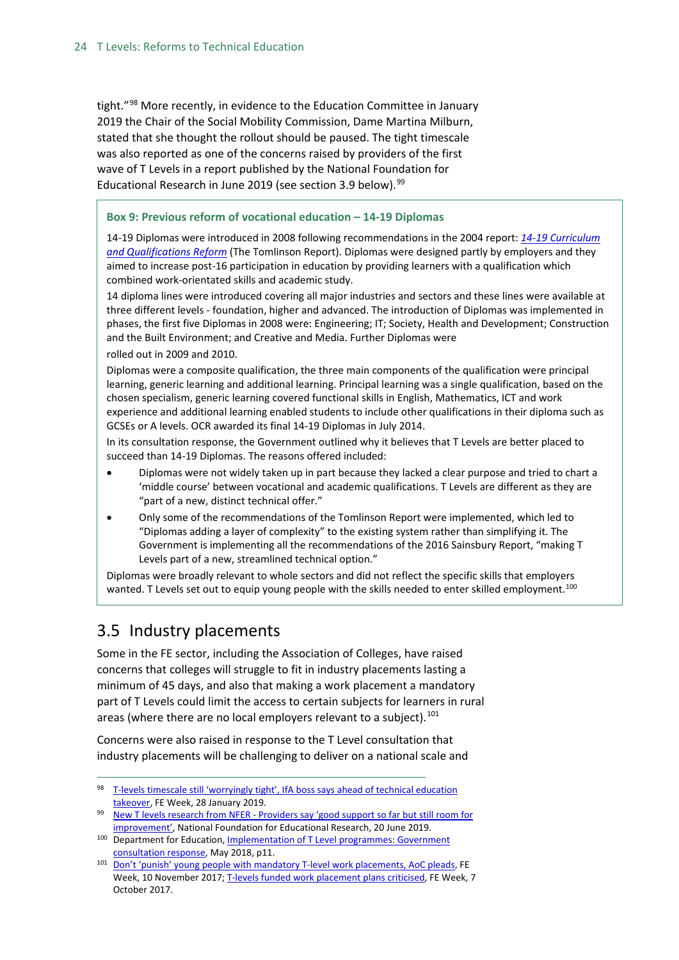tight."[98](#page-23-1) More recently, in evidence to the Education Committee in January 2019 the Chair of the Social Mobility Commission, Dame Martina Milburn, stated that she thought the rollout should be paused. The tight timescale was also reported as one of the concerns raised by providers of the first wave of T Levels in a report published by the National Foundation for Educational Research in June 2019 (see section 3.9 below).  $99$ 

#### **Box 9: Previous reform of vocational education – 14-19 Diplomas**

14-19 Diplomas were introduced in 2008 following recommendations in the 2004 report: *[14-19 Curriculum](http://www.educationengland.org.uk/documents/pdfs/2004-tomlinson-report.pdf)  [and Qualifications Reform](http://www.educationengland.org.uk/documents/pdfs/2004-tomlinson-report.pdf)* (The Tomlinson Report). Diplomas were designed partly by employers and they aimed to increase post-16 participation in education by providing learners with a qualification which combined work-orientated skills and academic study.

14 diploma lines were introduced covering all major industries and sectors and these lines were available at three different levels - foundation, higher and advanced. The introduction of Diplomas was implemented in phases, the first five Diplomas in 2008 were: Engineering; IT; Society, Health and Development; Construction and the Built Environment; and Creative and Media. Further Diplomas were

rolled out in 2009 and 2010.

Diplomas were a composite qualification, the three main components of the qualification were principal learning, generic learning and additional learning. Principal learning was a single qualification, based on the chosen specialism, generic learning covered functional skills in English, Mathematics, ICT and work experience and additional learning enabled students to include other qualifications in their diploma such as GCSEs or A levels. OCR awarded its final 14-19 Diplomas in July 2014.

In its consultation response, the Government outlined why it believes that T Levels are better placed to succeed than 14-19 Diplomas. The reasons offered included:

- Diplomas were not widely taken up in part because they lacked a clear purpose and tried to chart a 'middle course' between vocational and academic qualifications. T Levels are different as they are "part of a new, distinct technical offer."
- Only some of the recommendations of the Tomlinson Report were implemented, which led to "Diplomas adding a layer of complexity" to the existing system rather than simplifying it. The Government is implementing all the recommendations of the 2016 Sainsbury Report, "making T Levels part of a new, streamlined technical option."

Diplomas were broadly relevant to whole sectors and did not reflect the specific skills that employers wanted. T Levels set out to equip young people with the skills needed to enter skilled employment.<sup>[100](#page-23-3)</sup>

## <span id="page-23-0"></span>3.5 Industry placements

Some in the FE sector, including the Association of Colleges, have raised concerns that colleges will struggle to fit in industry placements lasting a minimum of 45 days, and also that making a work placement a mandatory part of T Levels could limit the access to certain subjects for learners in rural areas (where there are no local employers relevant to a subject).<sup>[101](#page-23-4)</sup>

Concerns were also raised in response to the T Level consultation that industry placements will be challenging to deliver on a national scale and

<span id="page-23-1"></span><sup>98</sup> T-levels timescale still 'worryingly tight', IfA boss says ahead of technical education [takeover,](https://feweek.co.uk/2019/01/28/t-levels-timescale-still-worryingly-tight-ifa-boss-says-ahead-of-technical-education-takeover/) FE Week, 28 January 2019.

<span id="page-23-2"></span><sup>99</sup> New T levels research from NFER - Providers say 'good support so far but still room for [improvement',](https://www.nfer.ac.uk/news-events/press-releases/new-t-levels-research-from-nfer/) National Foundation for Educational Research, 20 June 2019.

<span id="page-23-3"></span><sup>&</sup>lt;sup>100</sup> Department for Education, **Implementation of T Level programmes: Government** [consultation response,](https://assets.publishing.service.gov.uk/government/uploads/system/uploads/attachment_data/file/711472/Implementation_of_T_Level_programmes-Government_consultation_response.pdf) May 2018, p11.

<span id="page-23-4"></span><sup>101</sup> [Don't 'punish' young people with mandatory T-level work placements, AoC pleads,](https://feweek.co.uk/2017/11/10/aoc-pleads-dont-punish-the-young-with-mandatory-t-levels-work-placements/) FE Week, 10 November 2017[; T-levels funded work placement plans criticised,](https://feweek.co.uk/2017/10/07/t-levels-funded-work-placement-plans-criticised/) FE Week, 7 October 2017.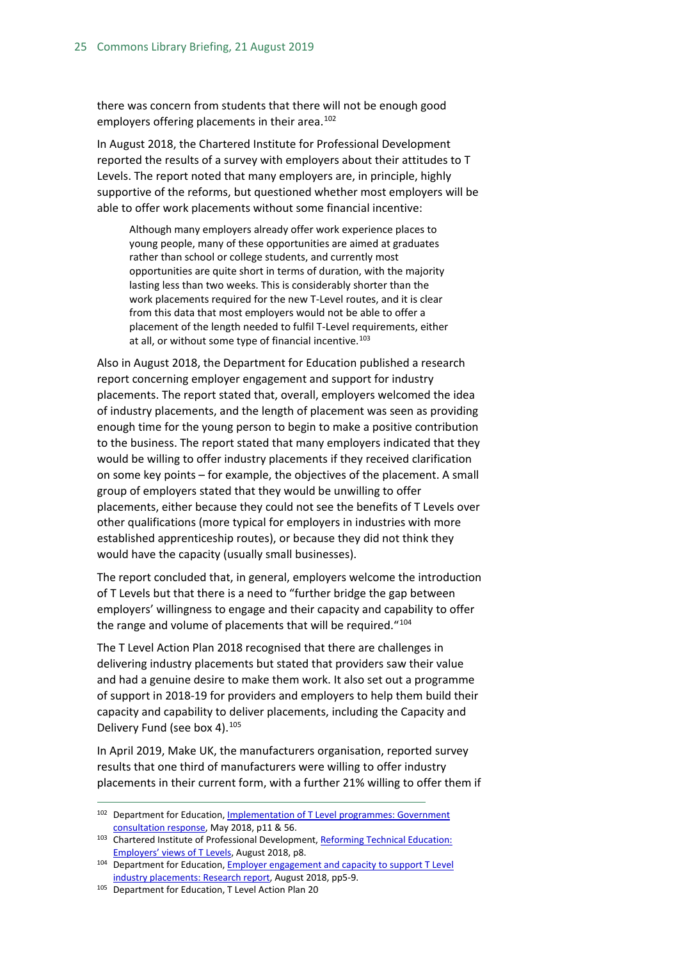there was concern from students that there will not be enough good employers offering placements in their area.<sup>[102](#page-24-0)</sup>

In August 2018, the Chartered Institute for Professional Development reported the results of a survey with employers about their attitudes to T Levels. The report noted that many employers are, in principle, highly supportive of the reforms, but questioned whether most employers will be able to offer work placements without some financial incentive:

Although many employers already offer work experience places to young people, many of these opportunities are aimed at graduates rather than school or college students, and currently most opportunities are quite short in terms of duration, with the majority lasting less than two weeks. This is considerably shorter than the work placements required for the new T-Level routes, and it is clear from this data that most employers would not be able to offer a placement of the length needed to fulfil T-Level requirements, either at all, or without some type of financial incentive.<sup>[103](#page-24-1)</sup>

Also in August 2018, the Department for Education published a research report concerning employer engagement and support for industry placements. The report stated that, overall, employers welcomed the idea of industry placements, and the length of placement was seen as providing enough time for the young person to begin to make a positive contribution to the business. The report stated that many employers indicated that they would be willing to offer industry placements if they received clarification on some key points – for example, the objectives of the placement. A small group of employers stated that they would be unwilling to offer placements, either because they could not see the benefits of T Levels over other qualifications (more typical for employers in industries with more established apprenticeship routes), or because they did not think they would have the capacity (usually small businesses).

The report concluded that, in general, employers welcome the introduction of T Levels but that there is a need to "further bridge the gap between employers' willingness to engage and their capacity and capability to offer the range and volume of placements that will be required. "[104](#page-24-2)

The T Level Action Plan 2018 recognised that there are challenges in delivering industry placements but stated that providers saw their value and had a genuine desire to make them work. It also set out a programme of support in 2018-19 for providers and employers to help them build their capacity and capability to deliver placements, including the Capacity and Delivery Fund (see box 4).<sup>[105](#page-24-3)</sup>

In April 2019, Make UK, the manufacturers organisation, reported survey results that one third of manufacturers were willing to offer industry placements in their current form, with a further 21% willing to offer them if

<span id="page-24-0"></span><sup>102</sup> Department for Education, Implementation of T Level programmes: Government [consultation response,](https://assets.publishing.service.gov.uk/government/uploads/system/uploads/attachment_data/file/711472/Implementation_of_T_Level_programmes-Government_consultation_response.pdf) May 2018, p11 & 56.

<span id="page-24-1"></span><sup>103</sup> Chartered Institute of Professional Development, Reforming Technical Education:

<span id="page-24-2"></span>[Employers' views of T Levels,](https://www.cipd.co.uk/Images/reforming-technical-education-report_tcm18-46474.pdf) August 2018, p8.<br><sup>104</sup> Department for Education, Employer engagement and capacity to support T Level [industry placements: Research report,](https://assets.publishing.service.gov.uk/government/uploads/system/uploads/attachment_data/file/737471/Employer_Capacity_Report.pdf) August 2018, pp5-9.

<span id="page-24-3"></span><sup>105</sup> Department for Education, T Level Action Plan 20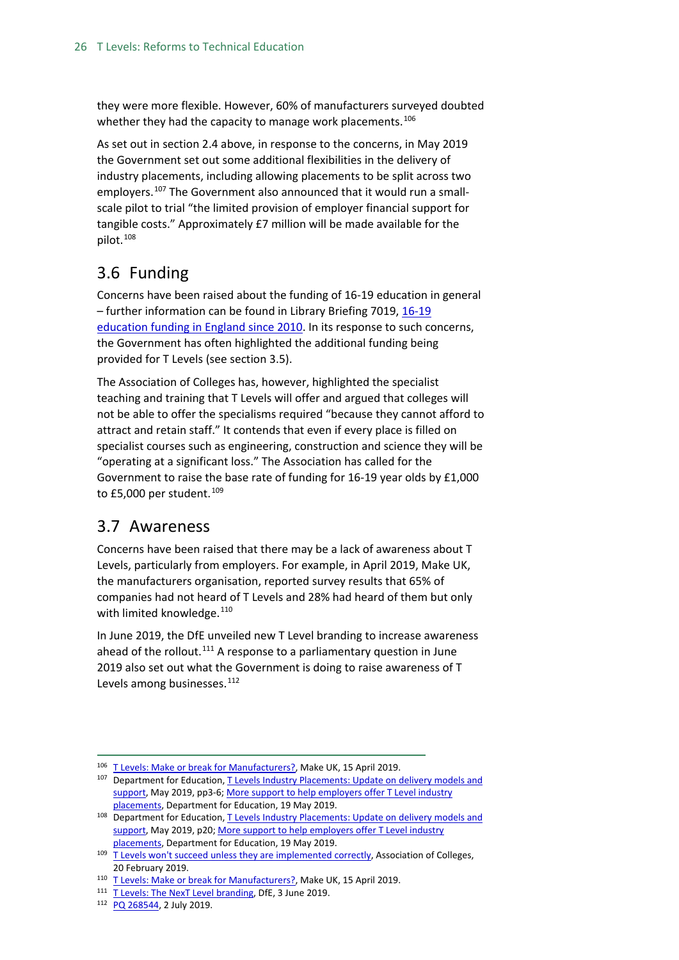they were more flexible. However, 60% of manufacturers surveyed doubted whether they had the capacity to manage work placements.<sup>[106](#page-25-2)</sup>

As set out in section 2.4 above, in response to the concerns, in May 2019 the Government set out some additional flexibilities in the delivery of industry placements, including allowing placements to be split across two employers.<sup>[107](#page-25-3)</sup> The Government also announced that it would run a smallscale pilot to trial "the limited provision of employer financial support for tangible costs." Approximately £7 million will be made available for the pilot.<sup>[108](#page-25-4)</sup>

## <span id="page-25-0"></span>3.6 Funding

Concerns have been raised about the funding of 16-19 education in general – further information can be found in Library Briefing 7019[, 16-19](https://researchbriefings.parliament.uk/ResearchBriefing/Summary/SN07019)  [education funding in England since 2010.](https://researchbriefings.parliament.uk/ResearchBriefing/Summary/SN07019) In its response to such concerns, the Government has often highlighted the additional funding being provided for T Levels (see section 3.5).

The Association of Colleges has, however, highlighted the specialist teaching and training that T Levels will offer and argued that colleges will not be able to offer the specialisms required "because they cannot afford to attract and retain staff." It contends that even if every place is filled on specialist courses such as engineering, construction and science they will be "operating at a significant loss." The Association has called for the Government to raise the base rate of funding for 16-19 year olds by £1,000 to £5,000 per student.<sup>[109](#page-25-5)</sup>

## <span id="page-25-1"></span>3.7 Awareness

Concerns have been raised that there may be a lack of awareness about T Levels, particularly from employers. For example, in April 2019, Make UK, the manufacturers organisation, reported survey results that 65% of companies had not heard of T Levels and 28% had heard of them but only with limited knowledge.<sup>[110](#page-25-6)</sup>

In June 2019, the DfE unveiled new T Level branding to increase awareness ahead of the rollout.<sup>[111](#page-25-7)</sup> A response to a parliamentary question in June 2019 also set out what the Government is doing to raise awareness of T Levels among businesses.<sup>[112](#page-25-8)</sup>

<span id="page-25-2"></span><sup>&</sup>lt;sup>106</sup> [T Levels: Make or break for Manufacturers?,](https://www.makeuk.org/news-and-events/News/2019/04/15/Industry-calls-for-boost-to-T-levels-to-avoid-repeating-Apprenticeship-Levy-errors) Make UK, 15 April 2019.

<span id="page-25-3"></span><sup>107</sup> Department for Education, T Levels Industry Placements: Update on delivery models and [support,](https://assets.publishing.service.gov.uk/government/uploads/system/uploads/attachment_data/file/802703/Industry_placements_policy_update.pdf) May 2019, pp3-6[; More support to help employers offer T Level industry](https://www.gov.uk/government/news/more-support-to-help-employers-offer-t-level-industry-placements)  [placements,](https://www.gov.uk/government/news/more-support-to-help-employers-offer-t-level-industry-placements) Department for Education, 19 May 2019.

<span id="page-25-4"></span><sup>108</sup> Department for Education, T Levels Industry Placements: Update on delivery models and [support,](https://assets.publishing.service.gov.uk/government/uploads/system/uploads/attachment_data/file/802703/Industry_placements_policy_update.pdf) May 2019, p20[; More support to help employers offer T Level industry](https://www.gov.uk/government/news/more-support-to-help-employers-offer-t-level-industry-placements)  [placements,](https://www.gov.uk/government/news/more-support-to-help-employers-offer-t-level-industry-placements) Department for Education, 19 May 2019.

<span id="page-25-5"></span><sup>&</sup>lt;sup>109</sup> [T Levels won't succeed unless they are implemented correctly,](https://www.aoc.co.uk/news/t-levels-wont-succeed-unless-they-are-implemented-correctly) Association of Colleges, 20 February 2019.

<span id="page-25-6"></span><sup>&</sup>lt;sup>110</sup> [T Levels: Make or break for Manufacturers?,](https://www.makeuk.org/news-and-events/News/2019/04/15/Industry-calls-for-boost-to-T-levels-to-avoid-repeating-Apprenticeship-Levy-errors) Make UK, 15 April 2019.

<span id="page-25-8"></span><span id="page-25-7"></span><sup>&</sup>lt;sup>111</sup> [T Levels: The NexT Level branding,](https://www.gov.uk/government/news/t-levels-the-next-level-branding) DfE, 3 June 2019.

<sup>112</sup> [PQ 268544,](https://www.parliament.uk/written-questions-answers-statements/written-question/commons/2019-06-24/268544) 2 July 2019.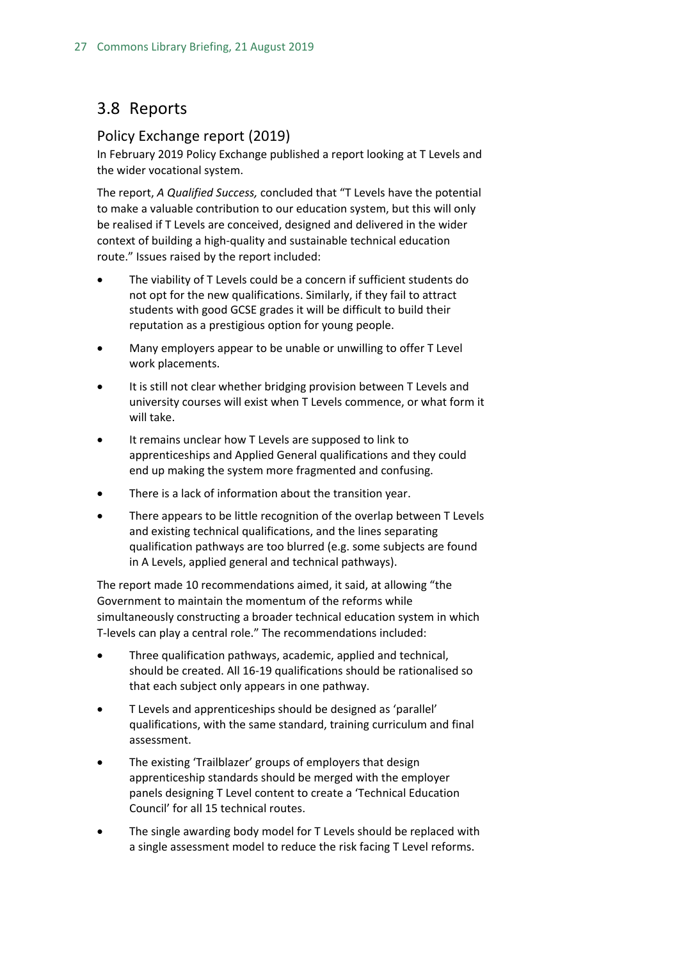## <span id="page-26-0"></span>3.8 Reports

#### <span id="page-26-1"></span>Policy Exchange report (2019)

In February 2019 Policy Exchange published a report looking at T Levels and the wider vocational system.

The report, *A Qualified Success,* concluded that "T Levels have the potential to make a valuable contribution to our education system, but this will only be realised if T Levels are conceived, designed and delivered in the wider context of building a high-quality and sustainable technical education route." Issues raised by the report included:

- The viability of T Levels could be a concern if sufficient students do not opt for the new qualifications. Similarly, if they fail to attract students with good GCSE grades it will be difficult to build their reputation as a prestigious option for young people.
- Many employers appear to be unable or unwilling to offer T Level work placements.
- It is still not clear whether bridging provision between T Levels and university courses will exist when T Levels commence, or what form it will take.
- It remains unclear how T Levels are supposed to link to apprenticeships and Applied General qualifications and they could end up making the system more fragmented and confusing.
- There is a lack of information about the transition year.
- There appears to be little recognition of the overlap between T Levels and existing technical qualifications, and the lines separating qualification pathways are too blurred (e.g. some subjects are found in A Levels, applied general and technical pathways).

The report made 10 recommendations aimed, it said, at allowing "the Government to maintain the momentum of the reforms while simultaneously constructing a broader technical education system in which T-levels can play a central role." The recommendations included:

- Three qualification pathways, academic, applied and technical, should be created. All 16-19 qualifications should be rationalised so that each subject only appears in one pathway.
- T Levels and apprenticeships should be designed as 'parallel' qualifications, with the same standard, training curriculum and final assessment.
- The existing 'Trailblazer' groups of employers that design apprenticeship standards should be merged with the employer panels designing T Level content to create a 'Technical Education Council' for all 15 technical routes.
- The single awarding body model for T Levels should be replaced with a single assessment model to reduce the risk facing T Level reforms.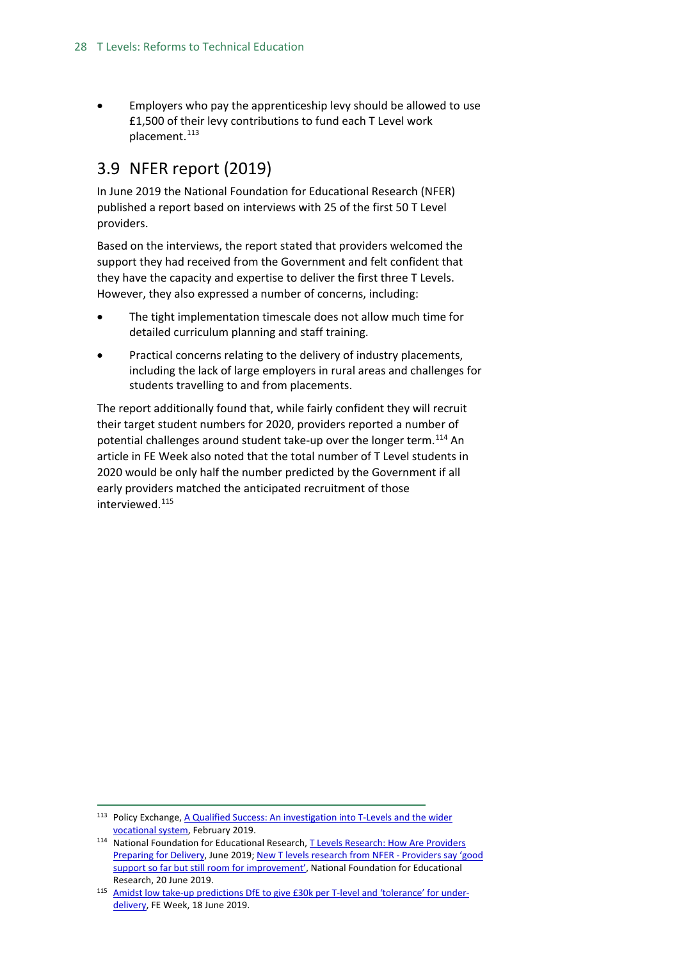• Employers who pay the apprenticeship levy should be allowed to use £1,500 of their levy contributions to fund each T Level work placement.<sup>[113](#page-27-1)</sup>

## <span id="page-27-0"></span>3.9 NFER report (2019)

In June 2019 the National Foundation for Educational Research (NFER) published a report based on interviews with 25 of the first 50 T Level providers.

Based on the interviews, the report stated that providers welcomed the support they had received from the Government and felt confident that they have the capacity and expertise to deliver the first three T Levels. However, they also expressed a number of concerns, including:

- The tight implementation timescale does not allow much time for detailed curriculum planning and staff training.
- Practical concerns relating to the delivery of industry placements, including the lack of large employers in rural areas and challenges for students travelling to and from placements.

The report additionally found that, while fairly confident they will recruit their target student numbers for 2020, providers reported a number of potential challenges around student take-up over the longer term.<sup>[114](#page-27-2)</sup> An article in FE Week also noted that the total number of T Level students in 2020 would be only half the number predicted by the Government if all early providers matched the anticipated recruitment of those interviewed.<sup>[115](#page-27-3)</sup>

<span id="page-27-1"></span><sup>113</sup> Policy Exchange, A Qualified Success: An investigation into T-Levels and the wider [vocational system,](https://policyexchange.org.uk/publication/a-qualified-success/) February 2019.

<span id="page-27-2"></span><sup>114</sup> National Foundation for Educational Research, T Levels Research: How Are Providers [Preparing for Delivery,](https://www.nfer.ac.uk/media/3496/t_levels_research_final_report.pdf) June 2019[; New T levels research from NFER -](https://www.nfer.ac.uk/news-events/press-releases/new-t-levels-research-from-nfer/) Providers say 'good [support so far but still room for improvement',](https://www.nfer.ac.uk/news-events/press-releases/new-t-levels-research-from-nfer/) National Foundation for Educational Research, 20 June 2019.

<span id="page-27-3"></span><sup>115</sup> [Amidst low take-up predictions DfE to give £30k per T-level and 'tolerance' for under](https://feweek.co.uk/2019/06/18/amidst-low-take-up-predictions-dfe-to-give-30k-per-t-level-and-tolerance-for-under-delivery/)[delivery,](https://feweek.co.uk/2019/06/18/amidst-low-take-up-predictions-dfe-to-give-30k-per-t-level-and-tolerance-for-under-delivery/) FE Week, 18 June 2019.